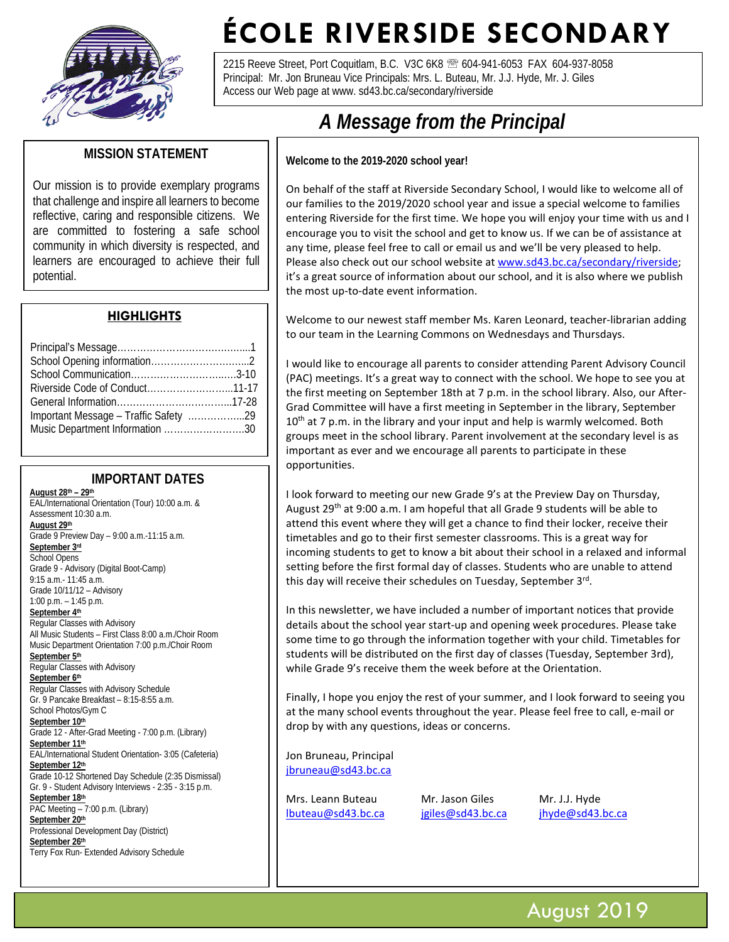

# **ÉCOLE RIVERSIDE SECONDARY**

2215 Reeve Street, Port Coquitlam, B.C. V3C 6K8 <sup>28</sup> 604-941-6053 FAX 604-937-8058 Principal: Mr. Jon Bruneau Vice Principals: Mrs. L. Buteau, Mr. J.J. Hyde, Mr. J. Giles Access our Web page at www. sd43.bc.ca/secondary/riverside

# **MISSION STATEMENT**

Our mission is to provide exemplary programs that challenge and inspire all learners to become reflective, caring and responsible citizens. We are committed to fostering a safe school community in which diversity is respected, and learners are encouraged to achieve their full potential.

#### **HIGHLIGHTS**

| Important Message - Traffic Safety 29 |  |
|---------------------------------------|--|
| Music Department Information 30       |  |
|                                       |  |

#### **IMPORTANT DATES**

**August 28th – 29th** EAL/International Orientation (Tour) 10:00 a.m. & Assessment 10:30 a.m. **August 29th** Grade 9 Preview Day – 9:00 a.m.-11:15 a.m. **September 3rd** School Opens Grade 9 - Advisory (Digital Boot-Camp) 9:15 a.m.- 11:45 a.m. Grade 10/11/12 – Advisory 1:00 p.m. – 1:45 p.m. **September 4th** Regular Classes with Advisory All Music Students – First Class 8:00 a.m./Choir Room Music Department Orientation 7:00 p.m./Choir Room **September 5th** Regular Classes with Advisory **September 6th** Regular Classes with Advisory Schedule Gr. 9 Pancake Breakfast – 8:15-8:55 a.m. School Photos/Gym C **September 10th** Grade 12 - After-Grad Meeting - 7:00 p.m. (Library) **September 11th** EAL/International Student Orientation- 3:05 (Cafeteria) **September 12th** Grade 10-12 Shortened Day Schedule (2:35 Dismissal) Gr. 9 - Student Advisory Interviews - 2:35 - 3:15 p.m. **September 18th** PAC Meeting – 7:00 p.m. (Library) **September 20th** Professional Development Day (District) **September 26th** Terry Fox Run- Extended Advisory Schedule

#### $$ A Message from the Principal

**Welcome to the 2019-2020 school year!**

On behalf of the staff at Riverside Secondary School, I would like to welcome all of our families to the 2019/2020 school year and issue a special welcome to families entering Riverside for the first time. We hope you will enjoy your time with us and I encourage you to visit the school and get to know us. If we can be of assistance at any time, please feel free to call or email us and we'll be very pleased to help. Please also check out our school website at [www.sd43.bc.ca/secondary/riverside;](http://www.sd43.bc.ca/secondary/riverside) it's a great source of information about our school, and it is also where we publish the most up-to-date event information.

Welcome to our newest staff member Ms. Karen Leonard, teacher-librarian adding to our team in the Learning Commons on Wednesdays and Thursdays.

I would like to encourage all parents to consider attending Parent Advisory Council (PAC) meetings. It's a great way to connect with the school. We hope to see you at the first meeting on September 18th at 7 p.m. in the school library. Also, our After-Grad Committee will have a first meeting in September in the library, September  $10<sup>th</sup>$  at 7 p.m. in the library and your input and help is warmly welcomed. Both groups meet in the school library. Parent involvement at the secondary level is as important as ever and we encourage all parents to participate in these opportunities.

I look forward to meeting our new Grade 9's at the Preview Day on Thursday, August 29<sup>th</sup> at 9:00 a.m. I am hopeful that all Grade 9 students will be able to attend this event where they will get a chance to find their locker, receive their timetables and go to their first semester classrooms. This is a great way for incoming students to get to know a bit about their school in a relaxed and informal setting before the first formal day of classes. Students who are unable to attend this day will receive their schedules on Tuesday, September 3rd.

In this newsletter, we have included a number of important notices that provide details about the school year start-up and opening week procedures. Please take some time to go through the information together with your child. Timetables for students will be distributed on the first day of classes (Tuesday, September 3rd), while Grade 9's receive them the week before at the Orientation.

Finally, I hope you enjoy the rest of your summer, and I look forward to seeing you at the many school events throughout the year. Please feel free to call, e-mail or drop by with any questions, ideas or concerns.

Jon Bruneau, Principal [jbruneau@sd43.bc.ca](mailto:jbruneau@sd43.bc.ca)

Mrs. Leann Buteau Mr. Jason Giles Mr. J.J. Hyde [lbuteau@sd43.bc.ca](mailto:lbuteau@sd43.bc.ca) [jgiles@sd43.bc.ca](mailto:jgiles@sd43.bc.ca) [jhyde@sd43.bc.ca](mailto:jhyde@sd43.bc.ca)

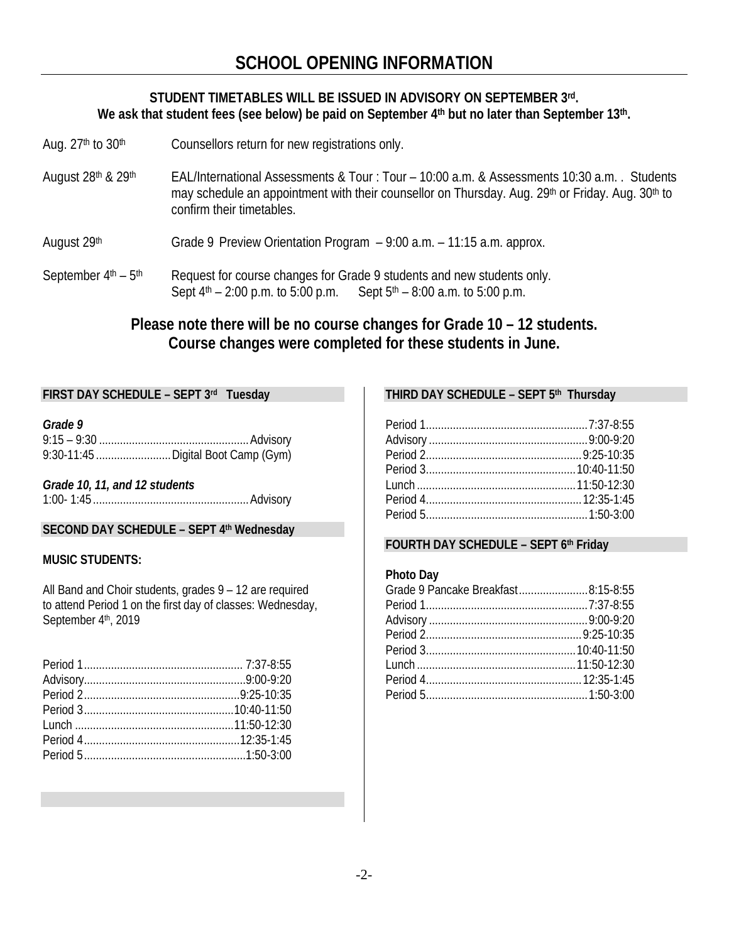# **STUDENT TIMETABLES WILL BE ISSUED IN ADVISORY ON SEPTEMBER 3rd. We ask that student fees (see below) be paid on September 4th but no later than September 13th.**

- Aug. 27<sup>th</sup> to 30<sup>th</sup> Counsellors return for new registrations only.
- August 28<sup>th</sup> & 29<sup>th</sup> EAL/International Assessments & Tour : Tour 10:00 a.m. & Assessments 10:30 a.m. . Students may schedule an appointment with their counsellor on Thursday. Aug. 29<sup>th</sup> or Friday. Aug. 30<sup>th</sup> to confirm their timetables.

August  $29<sup>th</sup>$  Grade 9 Preview Orientation Program  $-9:00$  a.m.  $-11:15$  a.m. approx.

September  $4<sup>th</sup> - 5<sup>th</sup>$  Request for course changes for Grade 9 students and new students only. Sept  $4<sup>th</sup> - 2:00$  p.m. to 5:00 p.m. Sept  $5<sup>th</sup> - 8:00$  a.m. to 5:00 p.m.

# **Please note there will be no course changes for Grade 10 – 12 students. Course changes were completed for these students in June.**

# **FIRST DAY SCHEDULE – SEPT 3rd Tuesday**

*Grade 9* 

| 9:30-11:45  Digital Boot Camp (Gym) |  |
|-------------------------------------|--|

*Grade 10, 11, and 12 students* 1:00- 1:45 ....................................................Advisory

#### **SECOND DAY SCHEDULE – SEPT 4th Wednesday**

#### **MUSIC STUDENTS:**

All Band and Choir students, grades 9 – 12 are required to attend Period 1 on the first day of classes: Wednesday, September 4th, 2019

#### **THIRD DAY SCHEDULE – SEPT 5th Thursday**

#### **FOURTH DAY SCHEDULE – SEPT 6th Friday**

#### **Photo Day**

| Grade 9 Pancake Breakfast8:15-8:55 |  |
|------------------------------------|--|
|                                    |  |
|                                    |  |
|                                    |  |
|                                    |  |
|                                    |  |
|                                    |  |
|                                    |  |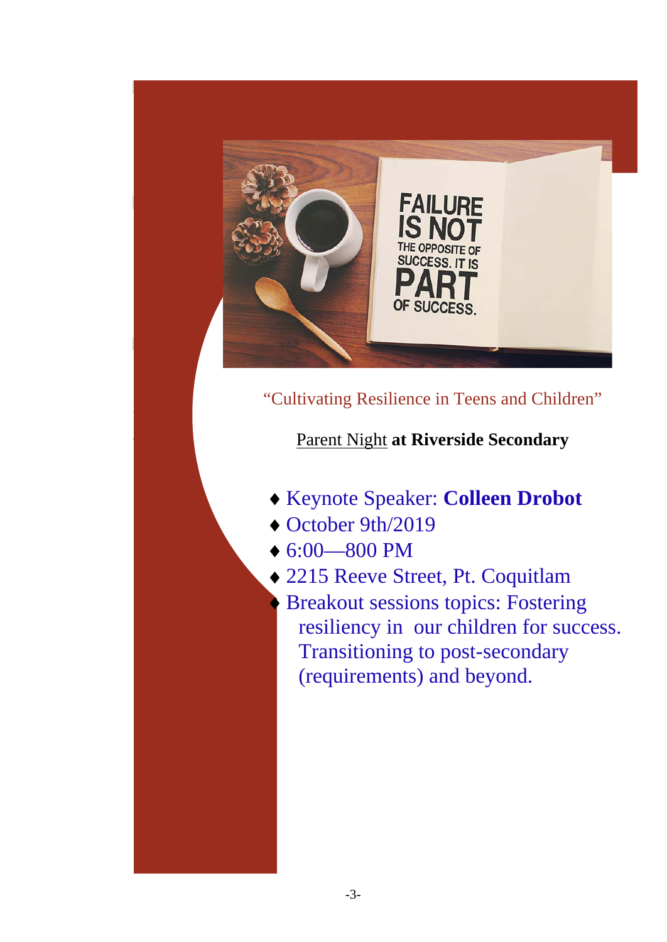

# *All fees, including yearbook, activity fees, cap and gown, will be collected on-line. To pay, please click on*  "Cultivating Resilience in Teens and Children"

#### *you will have created an account and be able to use this account to pay for field trips or others other fees*  **that is the great is the great the great the great the school year. Parent Night at Riverside Secondary**

- ↑ Reynote Speaker: **Colleen Drobot**
- $\rightarrow$  October 9th/2019

*["fee payment"](http://www.sd43.bc.ca/secondary/riverside/Pages/default.aspx) or visit our web-site and click on the button that says "student fees". In three simple steps,* 

*use the same account to pay fees for all your children if you have others attending schools in the Coquitlam* 

 $\triangleright$  6:00—800 PM

 $\sim$  We send home fee invoices with the studients on the first day of school.

- $\bullet$  25.000 activity fee is consistent with all secondary schools in this district. This fee consistent with  $\bullet$  22.15 Reeve Street. Pt. Coquitant • 2215 Reeve Street, Pt. Coquitlam
- Please note that the Secret optional cost. Some contract the year optional fees for the year optional fees for the year optional fees for the year optional fees for the year optional fees for the year optional fees for t resiliency in our children for success. **Figure 1. If any family some or all fees payable, contact your child's vice principal and the some or all fees principal and the vice principal and the vice principal and the vice principal and the vice principal and the** fees can be delayed or adjusted. • We can arrange a monthly payment plan to spread the costs over the fall and winter months. (requirements) and beyond.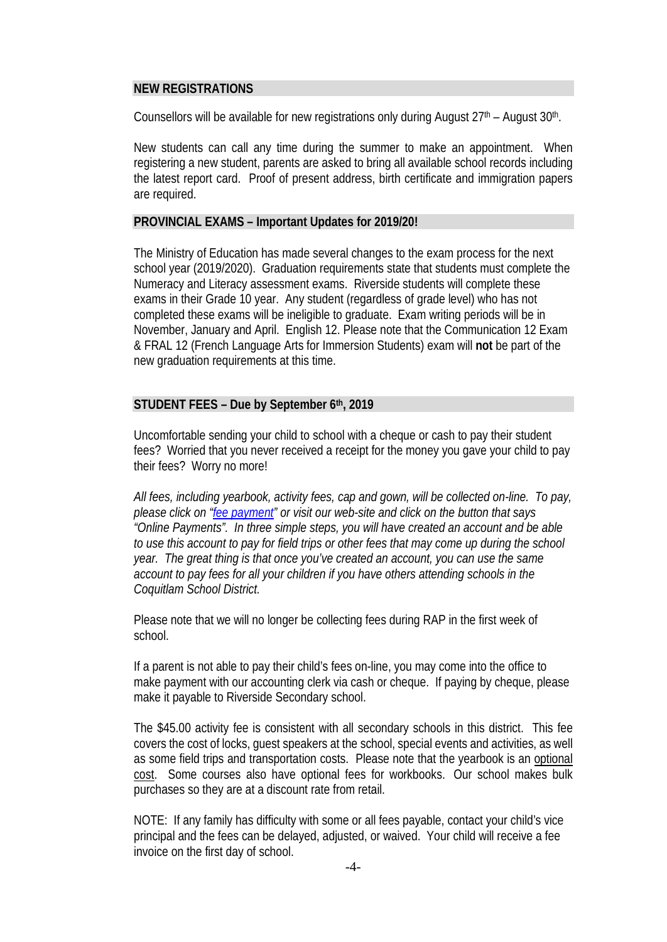### **NEW REGISTRATIONS**

Counsellors will be available for new registrations only during August  $27<sup>th</sup>$  – August  $30<sup>th</sup>$ .

New students can call any time during the summer to make an appointment. When registering a new student, parents are asked to bring all available school records including the latest report card. Proof of present address, birth certificate and immigration papers are required.

# **PROVINCIAL EXAMS – Important Updates for 2019/20!**

The Ministry of Education has made several changes to the exam process for the next school year (2019/2020). Graduation requirements state that students must complete the Numeracy and Literacy assessment exams. Riverside students will complete these exams in their Grade 10 year. Any student (regardless of grade level) who has not completed these exams will be ineligible to graduate. Exam writing periods will be in November, January and April. English 12. Please note that the Communication 12 Exam & FRAL 12 (French Language Arts for Immersion Students) exam will **not** be part of the new graduation requirements at this time.

# **STUDENT FEES – Due by September 6th, 2019**

Uncomfortable sending your child to school with a cheque or cash to pay their student fees? Worried that you never received a receipt for the money you gave your child to pay their fees? Worry no more!

*All fees, including yearbook, activity fees, cap and gown, will be collected on-line. To pay, please click on ["fee payment"](http://www.sd43.bc.ca/secondary/riverside/Pages/default.aspx) or visit our web-site and click on the button that says "Online Payments". In three simple steps, you will have created an account and be able to use this account to pay for field trips or other fees that may come up during the school year. The great thing is that once you've created an account, you can use the same account to pay fees for all your children if you have others attending schools in the Coquitlam School District.*

Please note that we will no longer be collecting fees during RAP in the first week of school.

If a parent is not able to pay their child's fees on-line, you may come into the office to make payment with our accounting clerk via cash or cheque. If paying by cheque, please make it payable to Riverside Secondary school.

The \$45.00 activity fee is consistent with all secondary schools in this district. This fee covers the cost of locks, guest speakers at the school, special events and activities, as well as some field trips and transportation costs. Please note that the yearbook is an optional cost. Some courses also have optional fees for workbooks. Our school makes bulk purchases so they are at a discount rate from retail.

NOTE: If any family has difficulty with some or all fees payable, contact your child's vice principal and the fees can be delayed, adjusted, or waived. Your child will receive a fee invoice on the first day of school.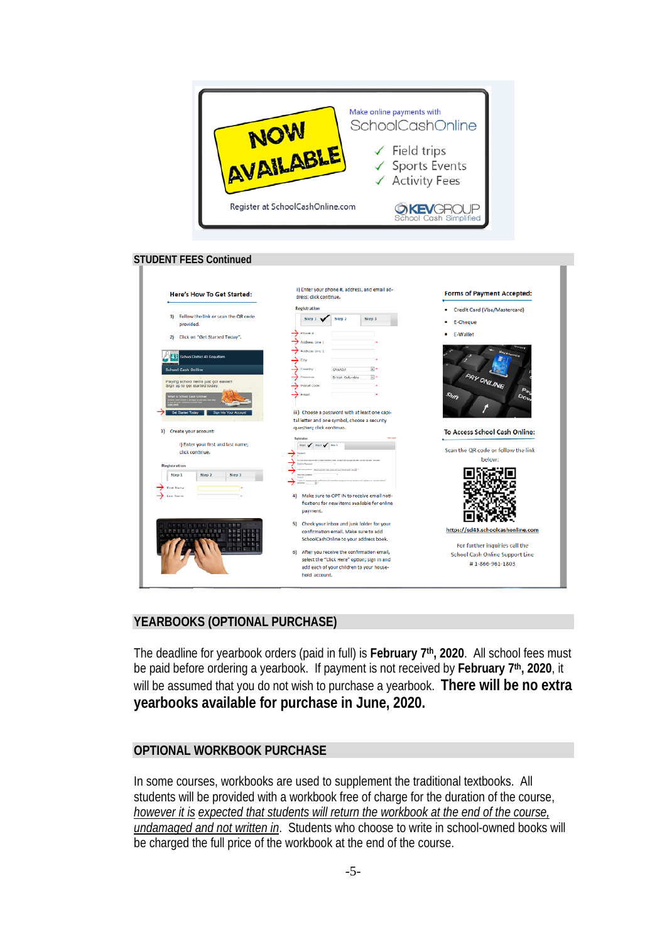

#### **STUDENT FEES Continued**

| Here's How To Get Started:                                            | dress; click continue.                                                                                                                                                                   | <b>Forms of Payment Accepted:</b>                                   |
|-----------------------------------------------------------------------|------------------------------------------------------------------------------------------------------------------------------------------------------------------------------------------|---------------------------------------------------------------------|
|                                                                       | Registration                                                                                                                                                                             | Credit Card (Visa/Mastercard)                                       |
| 1) Follow the link or scan the QR code<br>provided.                   | Step 1<br>Step 3<br>Step 2                                                                                                                                                               | E-Cheque                                                            |
| Click on "Get Started Today".<br>21                                   | Phone z<br>Address Line 1                                                                                                                                                                | <b>E-Wallet</b>                                                     |
| School District 43 Coquitiam                                          | Address Line 2<br>City                                                                                                                                                                   |                                                                     |
| <b>School Cash Online</b>                                             | $\mathbb{R}$ .<br>Country<br>CANADA<br>Province<br>British Columbia<br>E) +                                                                                                              |                                                                     |
| Paying school items just got easier!<br>Sign up to get started today. | <b>Postal Code</b>                                                                                                                                                                       | PAY ONLINE<br>$\mathcal{O}_{\mathbb{Q}_p}$                          |
| of Carn On                                                            | Email                                                                                                                                                                                    | Shift<br>$D_{\rm OL}$                                               |
| Sign Into Your Account<br>Oet Started Today                           | iii) Choose a password with at least one capi-<br>tal letter and one symbol, choose a security                                                                                           |                                                                     |
| Create your account:<br>31                                            | question; click continue.                                                                                                                                                                | To Access School Cash Online:                                       |
| i) Enter your first and last name;<br>click continue.                 | Registration<br>Street and Street<br>Store & Car                                                                                                                                         | Scan the QR code or follow the link<br>below:                       |
| <b>Registration</b><br>Step 1<br>Step 2<br>Step 3<br>First Name       | <b>College Reserved</b><br>Common light are fir for once of one field and and a<br>went to receive movel netifications for new free respond to my student and updates on release related |                                                                     |
| <b>Last Name</b>                                                      | 41<br>Make sure to OPT IN to receive email noti-<br>fications for new items available for online<br>payment.                                                                             |                                                                     |
|                                                                       | 5) Check your inbox and junk folder for your<br>confirmation email. Make sure to add<br>SchoolCashOnline to your address book.                                                           | https://sd43.schoolcashonline.com<br>For further inquiries call the |
|                                                                       | After you receive the confirmation email,<br>61<br>select the "Click Here" option; sign in and<br>add each of your children to your house-<br>hold account.                              | School Cash Online Support Line<br>#1-866-961-1803                  |

# **YEARBOOKS (OPTIONAL PURCHASE)**

The deadline for yearbook orders (paid in full) is **February 7th, 2020**. All school fees must be paid before ordering a yearbook. If payment is not received by **February 7th, 2020**, it will be assumed that you do not wish to purchase a yearbook. **There will be no extra yearbooks available for purchase in June, 2020.**

# **OPTIONAL WORKBOOK PURCHASE**

In some courses, workbooks are used to supplement the traditional textbooks. All students will be provided with a workbook free of charge for the duration of the course, *however it is expected that students will return the workbook at the end of the course, undamaged and not written in*. Students who choose to write in school-owned books will be charged the full price of the workbook at the end of the course.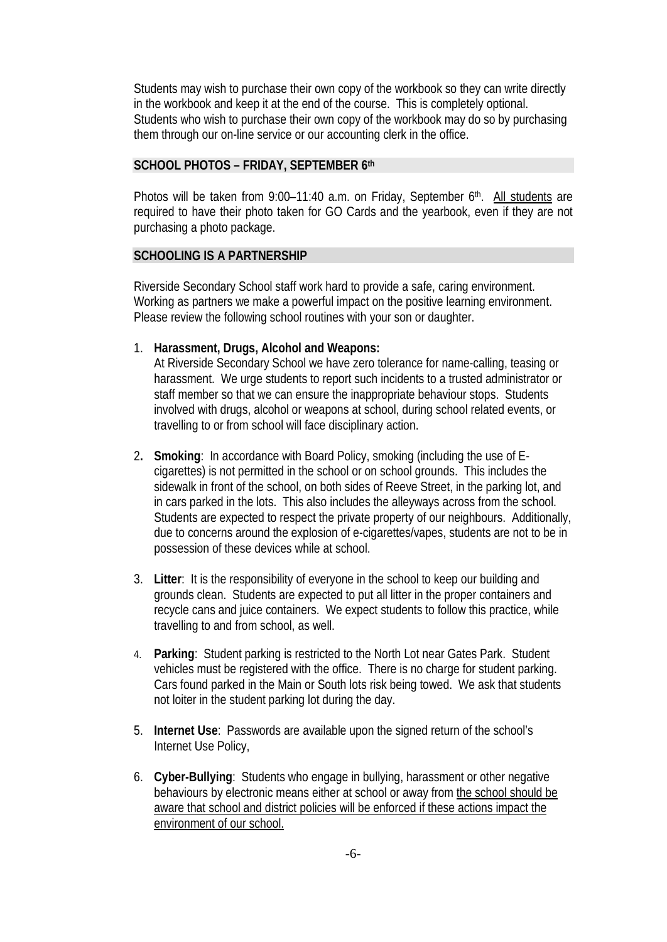Students may wish to purchase their own copy of the workbook so they can write directly in the workbook and keep it at the end of the course. This is completely optional. Students who wish to purchase their own copy of the workbook may do so by purchasing them through our on-line service or our accounting clerk in the office.

#### **SCHOOL PHOTOS – FRIDAY, SEPTEMBER 6th**

Photos will be taken from 9:00-11:40 a.m. on Friday, September 6<sup>th</sup>. All students are required to have their photo taken for GO Cards and the yearbook, even if they are not purchasing a photo package.

#### **SCHOOLING IS A PARTNERSHIP**

Riverside Secondary School staff work hard to provide a safe, caring environment. Working as partners we make a powerful impact on the positive learning environment. Please review the following school routines with your son or daughter.

1. **Harassment, Drugs, Alcohol and Weapons:**

At Riverside Secondary School we have zero tolerance for name-calling, teasing or harassment. We urge students to report such incidents to a trusted administrator or staff member so that we can ensure the inappropriate behaviour stops. Students involved with drugs, alcohol or weapons at school, during school related events, or travelling to or from school will face disciplinary action.

- 2**. Smoking**: In accordance with Board Policy, smoking (including the use of Ecigarettes) is not permitted in the school or on school grounds. This includes the sidewalk in front of the school, on both sides of Reeve Street, in the parking lot, and in cars parked in the lots. This also includes the alleyways across from the school. Students are expected to respect the private property of our neighbours. Additionally, due to concerns around the explosion of e-cigarettes/vapes, students are not to be in possession of these devices while at school.
- 3. **Litter**: It is the responsibility of everyone in the school to keep our building and grounds clean. Students are expected to put all litter in the proper containers and recycle cans and juice containers. We expect students to follow this practice, while travelling to and from school, as well.
- 4. **Parking**: Student parking is restricted to the North Lot near Gates Park. Student vehicles must be registered with the office. There is no charge for student parking. Cars found parked in the Main or South lots risk being towed. We ask that students not loiter in the student parking lot during the day.
- 5. **Internet Use**: Passwords are available upon the signed return of the school's Internet Use Policy,
- 6. **Cyber-Bullying**: Students who engage in bullying, harassment or other negative behaviours by electronic means either at school or away from the school should be aware that school and district policies will be enforced if these actions impact the environment of our school.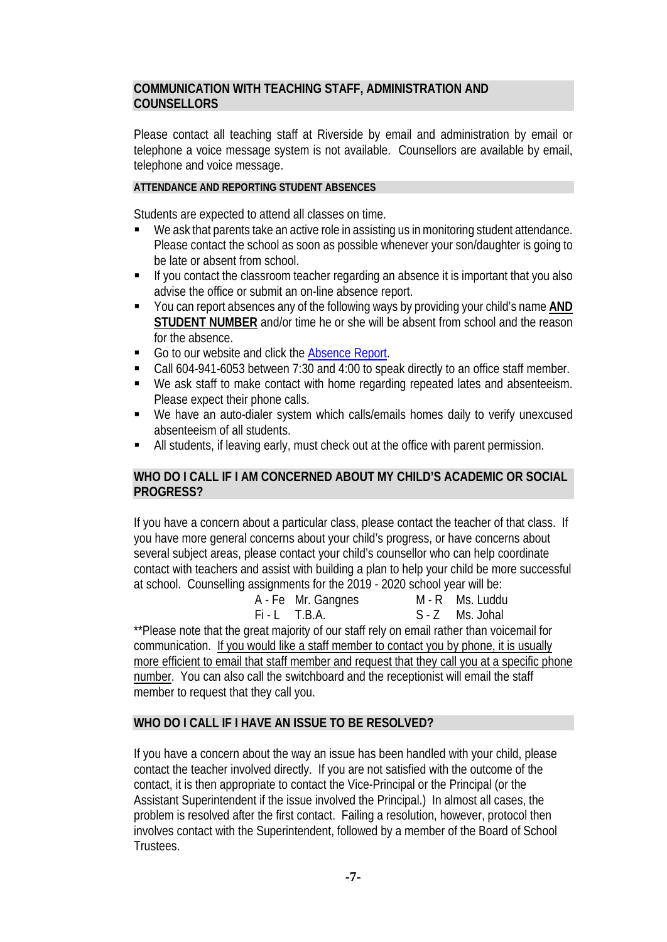# **COMMUNICATION WITH TEACHING STAFF, ADMINISTRATION AND COUNSELLORS**

Please contact all teaching staff at Riverside by email and administration by email or telephone a voice message system is not available. Counsellors are available by email, telephone and voice message.

# **ATTENDANCE AND REPORTING STUDENT ABSENCES**

Students are expected to attend all classes on time.

- We ask that parents take an active role in assisting us in monitoring student attendance. Please contact the school as soon as possible whenever your son/daughter is going to be late or absent from school.
- If you contact the classroom teacher regarding an absence it is important that you also advise the office or submit an on-line absence report.
- You can report absences any of the following ways by providing your child's name **AND STUDENT NUMBER** and/or time he or she will be absent from school and the reason for the absence.
- Go to our website and click the [Absence Report.](http://www2016.sd43.bc.ca/eforms/_layouts/15/FormServer.aspx?XsnLocation=http://www2016.sd43.bc.ca/eforms/AbsenceReportForm/Forms/template.xsn&OpenIn=browser&SaveLocation=http://www2016.sd43.bc.ca/eforms/AbsenceReportForm&Source=http://www2016.sd43.bc.ca/eforms/AbsenceReportForm)
- Call 604-941-6053 between 7:30 and 4:00 to speak directly to an office staff member.
- We ask staff to make contact with home regarding repeated lates and absenteeism. Please expect their phone calls.
- We have an auto-dialer system which calls/emails homes daily to verify unexcused absenteeism of all students.
- All students, if leaving early, must check out at the office with parent permission.

# **WHO DO I CALL IF I AM CONCERNED ABOUT MY CHILD'S ACADEMIC OR SOCIAL PROGRESS?**

If you have a concern about a particular class, please contact the teacher of that class. If you have more general concerns about your child's progress, or have concerns about several subject areas, please contact your child's counsellor who can help coordinate contact with teachers and assist with building a plan to help your child be more successful at school. Counselling assignments for the 2019 - 2020 school year will be:

A - Fe Mr. Gangnes M - R Ms. Luddu

Fi - L T.B.A. S - Z Ms. Johal

\*\*Please note that the great majority of our staff rely on email rather than voicemail for communication. If you would like a staff member to contact you by phone, it is usually more efficient to email that staff member and request that they call you at a specific phone number. You can also call the switchboard and the receptionist will email the staff member to request that they call you.

# **WHO DO I CALL IF I HAVE AN ISSUE TO BE RESOLVED?**

If you have a concern about the way an issue has been handled with your child, please contact the teacher involved directly. If you are not satisfied with the outcome of the contact, it is then appropriate to contact the Vice-Principal or the Principal (or the Assistant Superintendent if the issue involved the Principal.) In almost all cases, the problem is resolved after the first contact. Failing a resolution, however, protocol then involves contact with the Superintendent, followed by a member of the Board of School **Trustees**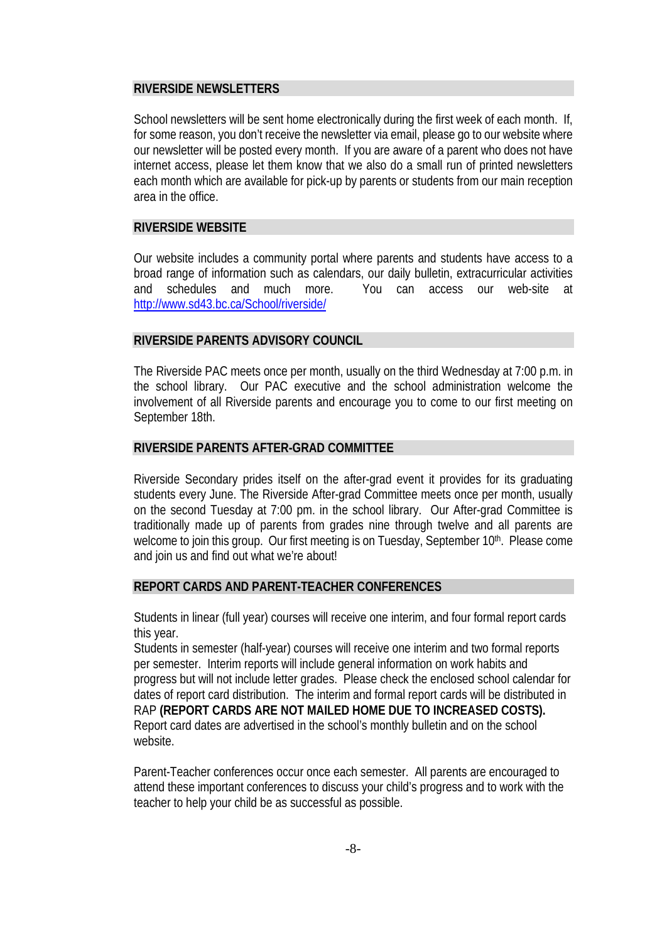## **RIVERSIDE NEWSLETTERS**

School newsletters will be sent home electronically during the first week of each month. If, for some reason, you don't receive the newsletter via email, please go to our website where our newsletter will be posted every month. If you are aware of a parent who does not have internet access, please let them know that we also do a small run of printed newsletters each month which are available for pick-up by parents or students from our main reception area in the office.

# **RIVERSIDE WEBSITE**

Our website includes a community portal where parents and students have access to a broad range of information such as calendars, our daily bulletin, extracurricular activities and schedules and much more. You can access our web-site at [http://www.sd43.bc.ca/School/riverside/](http://www.sd43.bc.ca/School/riverside/Pages/default.aspx)

# **RIVERSIDE PARENTS ADVISORY COUNCIL**

The Riverside PAC meets once per month, usually on the third Wednesday at 7:00 p.m. in the school library. Our PAC executive and the school administration welcome the involvement of all Riverside parents and encourage you to come to our first meeting on September 18th.

# **RIVERSIDE PARENTS AFTER-GRAD COMMITTEE**

Riverside Secondary prides itself on the after-grad event it provides for its graduating students every June. The Riverside After-grad Committee meets once per month, usually on the second Tuesday at 7:00 pm. in the school library. Our After-grad Committee is traditionally made up of parents from grades nine through twelve and all parents are welcome to join this group. Our first meeting is on Tuesday, September 10<sup>th</sup>. Please come and join us and find out what we're about!

#### **REPORT CARDS AND PARENT-TEACHER CONFERENCES**

Students in linear (full year) courses will receive one interim, and four formal report cards this year.

Students in semester (half-year) courses will receive one interim and two formal reports per semester. Interim reports will include general information on work habits and progress but will not include letter grades. Please check the enclosed school calendar for dates of report card distribution. The interim and formal report cards will be distributed in RAP **(REPORT CARDS ARE NOT MAILED HOME DUE TO INCREASED COSTS).**  Report card dates are advertised in the school's monthly bulletin and on the school website.

Parent-Teacher conferences occur once each semester. All parents are encouraged to attend these important conferences to discuss your child's progress and to work with the teacher to help your child be as successful as possible.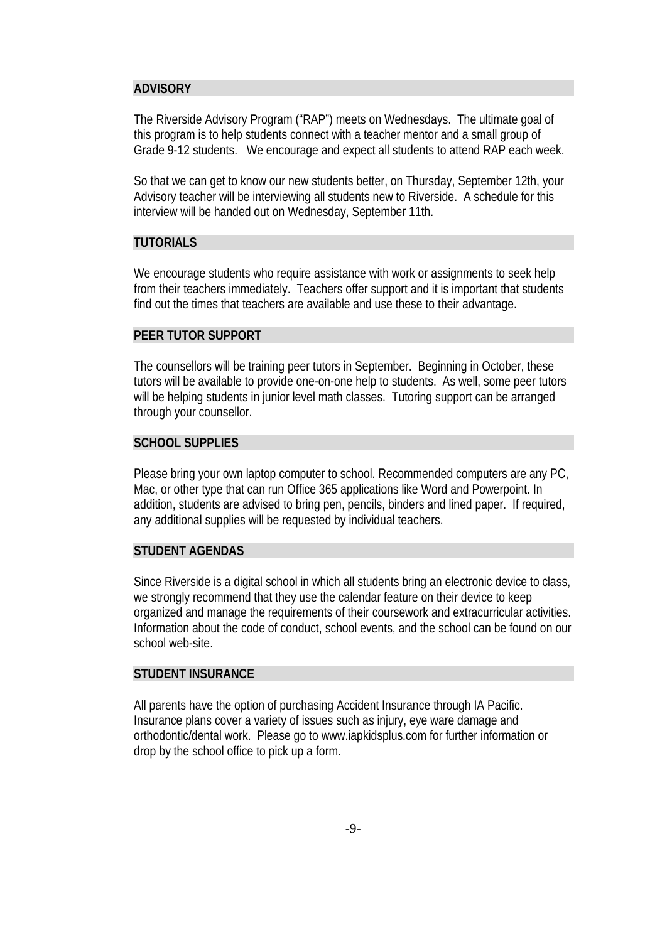#### **ADVISORY**

The Riverside Advisory Program ("RAP") meets on Wednesdays. The ultimate goal of this program is to help students connect with a teacher mentor and a small group of Grade 9-12 students. We encourage and expect all students to attend RAP each week.

So that we can get to know our new students better, on Thursday, September 12th, your Advisory teacher will be interviewing all students new to Riverside. A schedule for this interview will be handed out on Wednesday, September 11th.

# **TUTORIALS**

We encourage students who require assistance with work or assignments to seek help from their teachers immediately. Teachers offer support and it is important that students find out the times that teachers are available and use these to their advantage.

#### **PEER TUTOR SUPPORT**

The counsellors will be training peer tutors in September. Beginning in October, these tutors will be available to provide one-on-one help to students. As well, some peer tutors will be helping students in junior level math classes. Tutoring support can be arranged through your counsellor.

#### **SCHOOL SUPPLIES**

Please bring your own laptop computer to school. Recommended computers are any PC, Mac, or other type that can run Office 365 applications like Word and Powerpoint. In addition, students are advised to bring pen, pencils, binders and lined paper. If required, any additional supplies will be requested by individual teachers.

#### **STUDENT AGENDAS**

Since Riverside is a digital school in which all students bring an electronic device to class, we strongly recommend that they use the calendar feature on their device to keep organized and manage the requirements of their coursework and extracurricular activities. Information about the code of conduct, school events, and the school can be found on our school web-site.

#### **STUDENT INSURANCE**

All parents have the option of purchasing Accident Insurance through IA Pacific. Insurance plans cover a variety of issues such as injury, eye ware damage and orthodontic/dental work. Please go to www.iapkidsplus.com for further information or drop by the school office to pick up a form.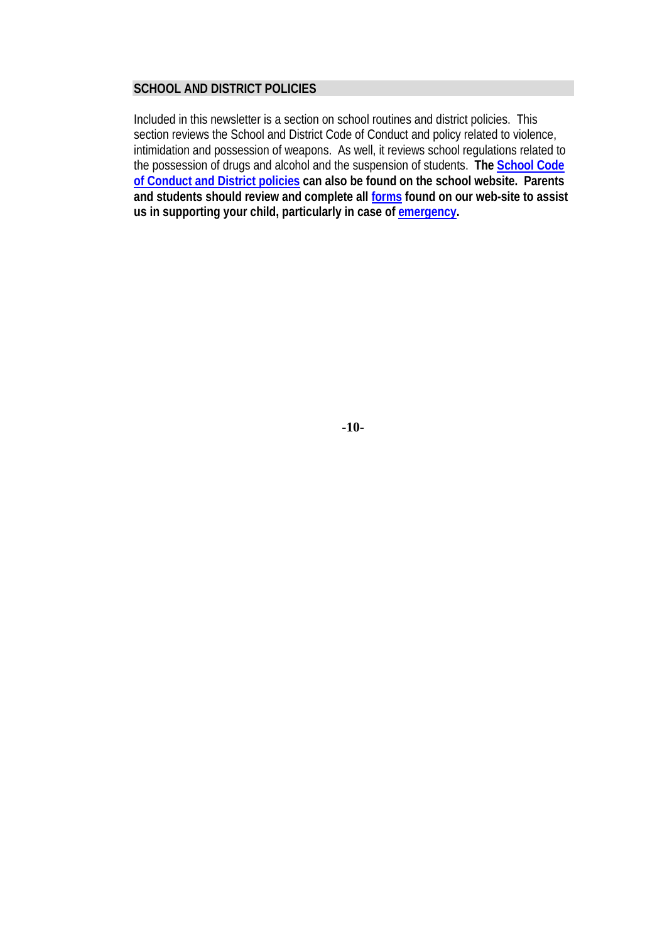## **SCHOOL AND DISTRICT POLICIES**

Included in this newsletter is a section on school routines and district policies. This section reviews the School and District Code of Conduct and policy related to violence, intimidation and possession of weapons. As well, it reviews school regulations related to the possession of drugs and alcohol and the suspension of students. **The [School Code](http://www.sd43.bc.ca/secondary/riverside/Publications/Code%20of%20Conduct%20and%20General%20Information%202015-2016.pdf)  [of Conduct and District policies](http://www.sd43.bc.ca/secondary/riverside/Publications/Code%20of%20Conduct%20and%20General%20Information%202015-2016.pdf) can also be found on the school website. Parents and students should review and complete all [forms](https://www2010.sd43.bc.ca/eforms/_layouts/FormServer.aspx?XsnLocation=https://www2010.sd43.bc.ca/eforms/FormServerTemplates/SchoolPolicyForm.xsn&SaveLocation=https%3A%2F%2Fwww2010%2Esd43%2Ebc%2Eca%2Feforms%2FSchoolPolicyForm&ClientInstalled=true&Source=https%3A%2F%2Fwww2010%2Esd43%2Ebc%2Eca%2Feforms%2FSchoolPolicyForm%2FForms%2FAllItems%2Easpx&DefaultItemOpen=1) found on our web-site to assist us in supporting your child, particularly in case of [emergency.](https://www2010.sd43.bc.ca/eforms/PrinteForms/EmergencyReleaseNew.pdf)**

**-10-**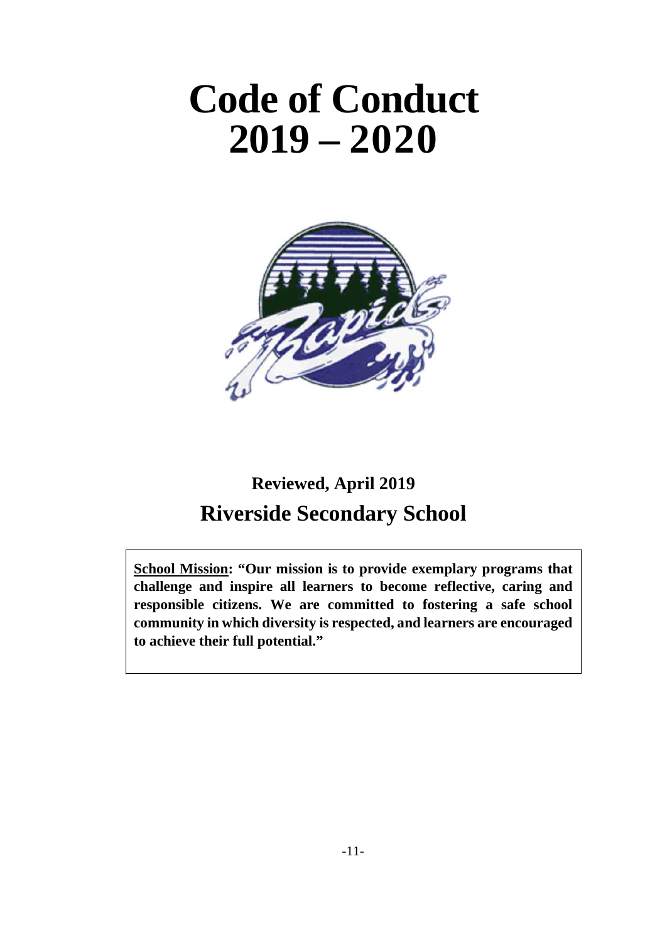# **Code of Conduct 2019 – 2020**



# **Reviewed, April 2019 Riverside Secondary School**

**School Mission: "Our mission is to provide exemplary programs that challenge and inspire all learners to become reflective, caring and responsible citizens. We are committed to fostering a safe school community in which diversity is respected, and learners are encouraged to achieve their full potential."**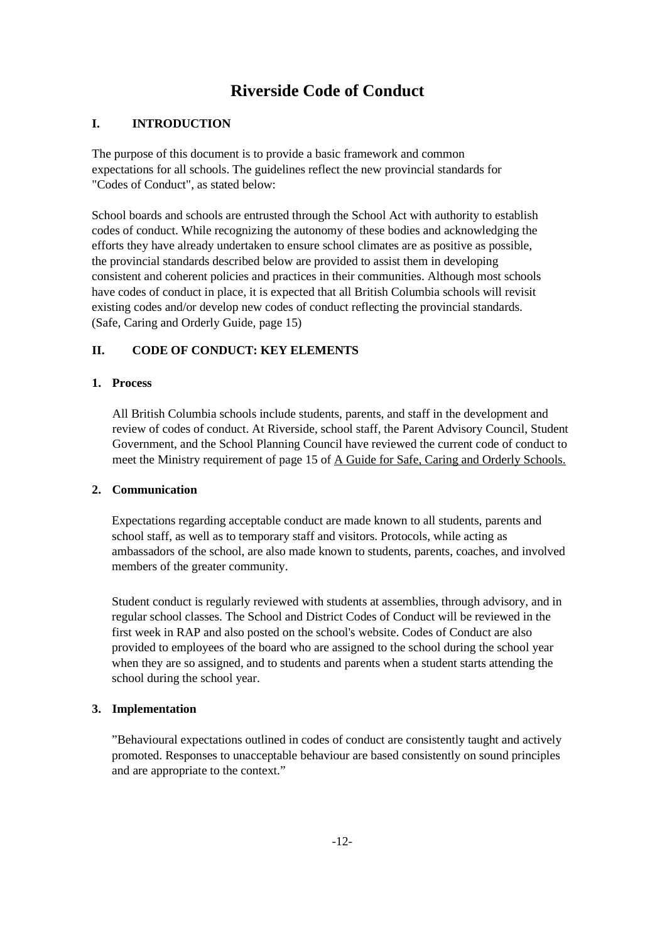# **Riverside Code of Conduct**

#### **I. INTRODUCTION**

The purpose of this document is to provide a basic framework and common expectations for all schools. The guidelines reflect the new provincial standards for "Codes of Conduct", as stated below:

School boards and schools are entrusted through the School Act with authority to establish codes of conduct. While recognizing the autonomy of these bodies and acknowledging the efforts they have already undertaken to ensure school climates are as positive as possible, the provincial standards described below are provided to assist them in developing consistent and coherent policies and practices in their communities. Although most schools have codes of conduct in place, it is expected that all British Columbia schools will revisit existing codes and/or develop new codes of conduct reflecting the provincial standards. (Safe, Caring and Orderly Guide, page 15)

#### **II. CODE OF CONDUCT: KEY ELEMENTS**

#### **1. Process**

All British Columbia schools include students, parents, and staff in the development and review of codes of conduct. At Riverside, school staff, the Parent Advisory Council, Student Government, and the School Planning Council have reviewed the current code of conduct to meet the Ministry requirement of page 15 of A Guide for Safe, Caring and Orderly Schools.

#### **2. Communication**

Expectations regarding acceptable conduct are made known to all students, parents and school staff, as well as to temporary staff and visitors. Protocols, while acting as ambassadors of the school, are also made known to students, parents, coaches, and involved members of the greater community.

Student conduct is regularly reviewed with students at assemblies, through advisory, and in regular school classes. The School and District Codes of Conduct will be reviewed in the first week in RAP and also posted on the school's website. Codes of Conduct are also provided to employees of the board who are assigned to the school during the school year when they are so assigned, and to students and parents when a student starts attending the school during the school year.

#### **3. Implementation**

"Behavioural expectations outlined in codes of conduct are consistently taught and actively promoted. Responses to unacceptable behaviour are based consistently on sound principles and are appropriate to the context."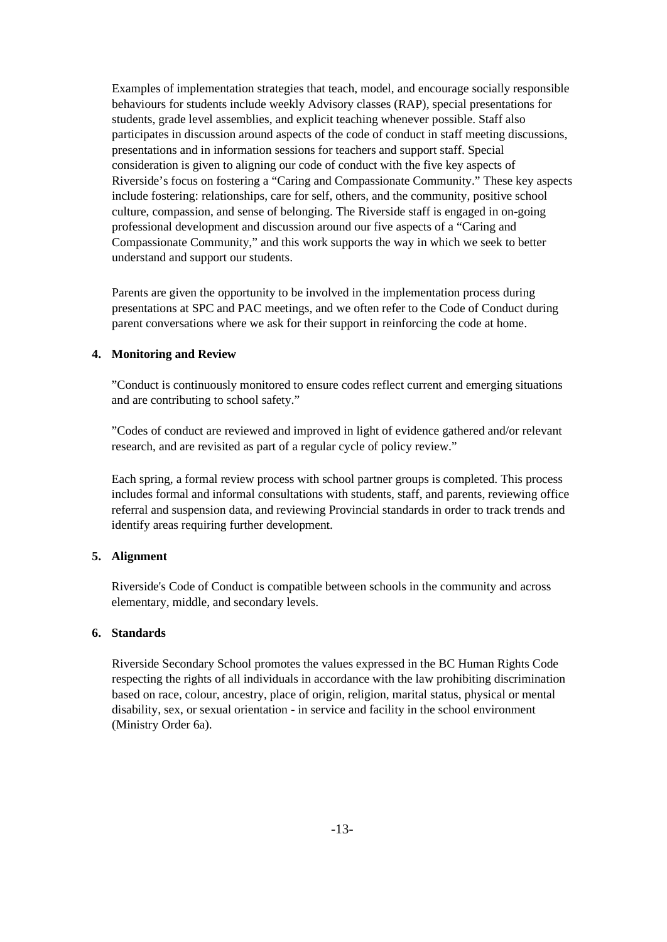Examples of implementation strategies that teach, model, and encourage socially responsible behaviours for students include weekly Advisory classes (RAP), special presentations for students, grade level assemblies, and explicit teaching whenever possible. Staff also participates in discussion around aspects of the code of conduct in staff meeting discussions, presentations and in information sessions for teachers and support staff. Special consideration is given to aligning our code of conduct with the five key aspects of Riverside's focus on fostering a "Caring and Compassionate Community." These key aspects include fostering: relationships, care for self, others, and the community, positive school culture, compassion, and sense of belonging. The Riverside staff is engaged in on-going professional development and discussion around our five aspects of a "Caring and Compassionate Community," and this work supports the way in which we seek to better understand and support our students.

Parents are given the opportunity to be involved in the implementation process during presentations at SPC and PAC meetings, and we often refer to the Code of Conduct during parent conversations where we ask for their support in reinforcing the code at home.

#### **4. Monitoring and Review**

"Conduct is continuously monitored to ensure codes reflect current and emerging situations and are contributing to school safety."

"Codes of conduct are reviewed and improved in light of evidence gathered and/or relevant research, and are revisited as part of a regular cycle of policy review."

Each spring, a formal review process with school partner groups is completed. This process includes formal and informal consultations with students, staff, and parents, reviewing office referral and suspension data, and reviewing Provincial standards in order to track trends and identify areas requiring further development.

#### **5. Alignment**

Riverside's Code of Conduct is compatible between schools in the community and across elementary, middle, and secondary levels.

#### **6. Standards**

Riverside Secondary School promotes the values expressed in the BC Human Rights Code respecting the rights of all individuals in accordance with the law prohibiting discrimination based on race, colour, ancestry, place of origin, religion, marital status, physical or mental disability, sex, or sexual orientation - in service and facility in the school environment (Ministry Order 6a).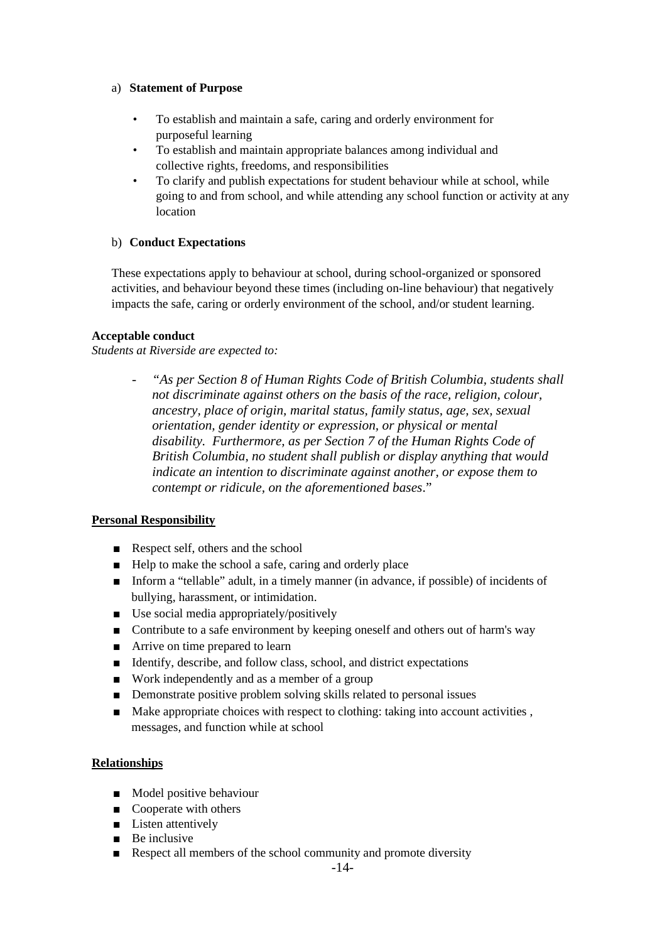#### a) **Statement of Purpose**

- To establish and maintain a safe, caring and orderly environment for purposeful learning
- To establish and maintain appropriate balances among individual and collective rights, freedoms, and responsibilities
- To clarify and publish expectations for student behaviour while at school, while going to and from school, and while attending any school function or activity at any location

#### b) **Conduct Expectations**

These expectations apply to behaviour at school, during school-organized or sponsored activities, and behaviour beyond these times (including on-line behaviour) that negatively impacts the safe, caring or orderly environment of the school, and/or student learning.

#### **Acceptable conduct**

*Students at Riverside are expected to:*

*- "As per Section 8 of Human Rights Code of British Columbia, students shall not discriminate against others on the basis of the race, religion, colour, ancestry, place of origin, marital status, family status, age, sex, sexual orientation, gender identity or expression, or physical or mental disability. Furthermore, as per Section 7 of the Human Rights Code of British Columbia, no student shall publish or display anything that would indicate an intention to discriminate against another, or expose them to contempt or ridicule, on the aforementioned bases*."

#### **Personal Responsibility**

- Respect self, others and the school
- Help to make the school a safe, caring and orderly place
- Inform a "tellable" adult, in a timely manner (in advance, if possible) of incidents of bullying, harassment, or intimidation.
- Use social media appropriately/positively
- Contribute to a safe environment by keeping oneself and others out of harm's way
- Arrive on time prepared to learn
- Identify, describe, and follow class, school, and district expectations
- Work independently and as a member of a group
- Demonstrate positive problem solving skills related to personal issues
- Make appropriate choices with respect to clothing: taking into account activities, messages, and function while at school

#### **Relationships**

- Model positive behaviour
- Cooperate with others
- Listen attentively
- Be inclusive
- Respect all members of the school community and promote diversity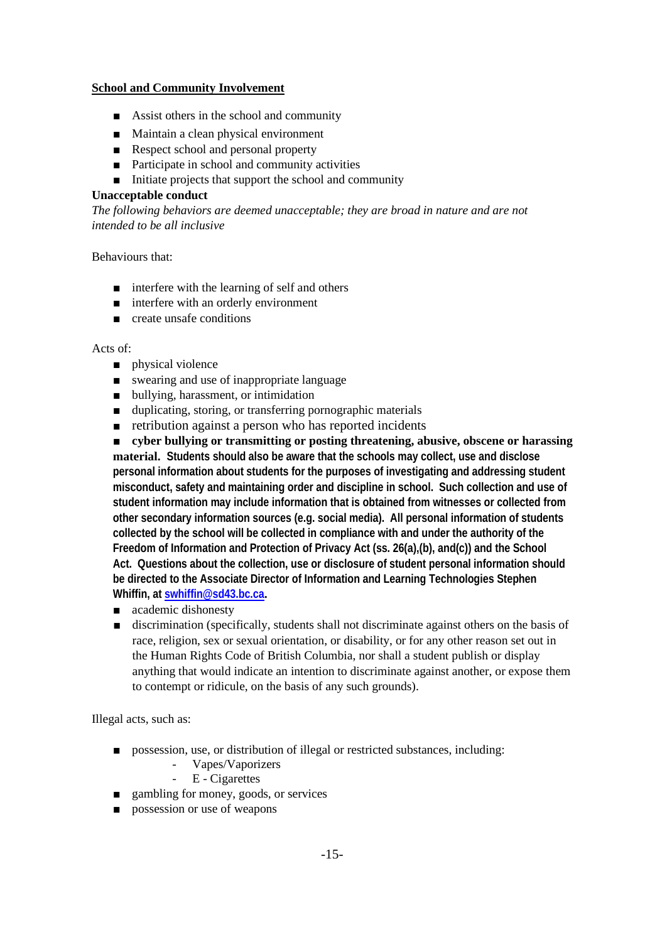#### **School and Community Involvement**

- Assist others in the school and community
- Maintain a clean physical environment
- Respect school and personal property
- Participate in school and community activities
- Initiate projects that support the school and community

#### **Unacceptable conduct**

*The following behaviors are deemed unacceptable; they are broad in nature and are not intended to be all inclusive*

Behaviours that:

- interfere with the learning of self and others
- interfere with an orderly environment
- create unsafe conditions

#### Acts of:

- physical violence
- swearing and use of inappropriate language
- bullying, harassment, or intimidation
- duplicating, storing, or transferring pornographic materials
- retribution against a person who has reported incidents

■ **cyber bullying or transmitting or posting threatening, abusive, obscene or harassing material. Students should also be aware that the schools may collect, use and disclose personal information about students for the purposes of investigating and addressing student misconduct, safety and maintaining order and discipline in school. Such collection and use of student information may include information that is obtained from witnesses or collected from other secondary information sources (e.g. social media). All personal information of students collected by the school will be collected in compliance with and under the authority of the Freedom of Information and Protection of Privacy Act (ss. 26(a),(b), and(c)) and the School Act. Questions about the collection, use or disclosure of student personal information should be directed to the Associate Director of Information and Learning Technologies Stephen Whiffin, at [swhiffin@sd43.bc.ca](mailto:swhiffin@sd43.bc.ca).**

- academic dishonesty
- discrimination (specifically, students shall not discriminate against others on the basis of race, religion, sex or sexual orientation, or disability, or for any other reason set out in the Human Rights Code of British Columbia, nor shall a student publish or display anything that would indicate an intention to discriminate against another, or expose them to contempt or ridicule, on the basis of any such grounds).

Illegal acts, such as:

- possession, use, or distribution of illegal or restricted substances, including:
	- Vapes/Vaporizers
	- E Cigarettes
- gambling for money, goods, or services
- possession or use of weapons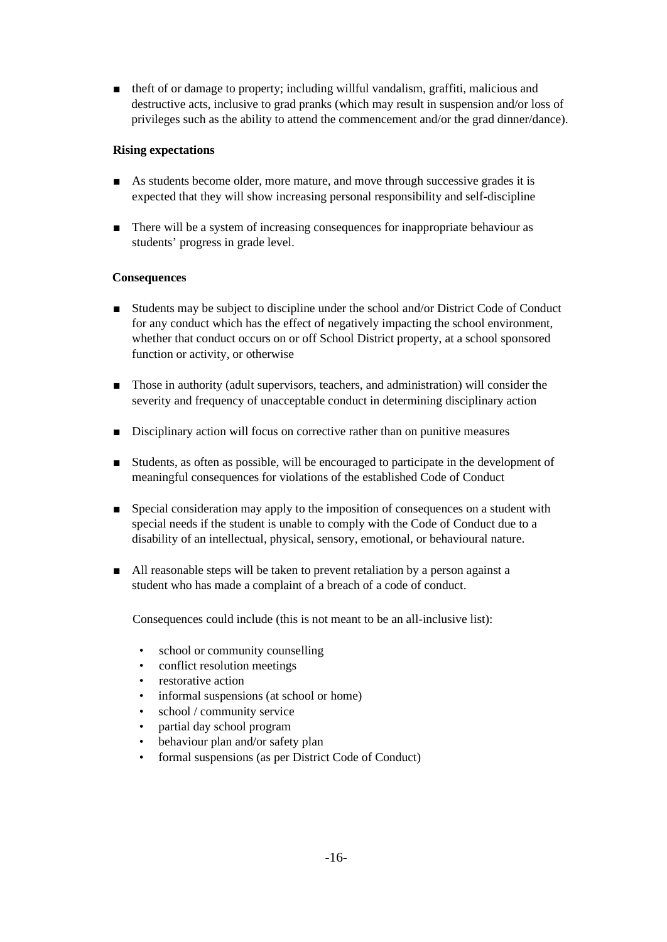■ theft of or damage to property; including willful vandalism, graffiti, malicious and destructive acts, inclusive to grad pranks (which may result in suspension and/or loss of privileges such as the ability to attend the commencement and/or the grad dinner/dance).

#### **Rising expectations**

- As students become older, more mature, and move through successive grades it is expected that they will show increasing personal responsibility and self-discipline
- There will be a system of increasing consequences for inappropriate behaviour as students' progress in grade level.

#### **Consequences**

- Students may be subject to discipline under the school and/or District Code of Conduct for any conduct which has the effect of negatively impacting the school environment, whether that conduct occurs on or off School District property, at a school sponsored function or activity, or otherwise
- Those in authority (adult supervisors, teachers, and administration) will consider the severity and frequency of unacceptable conduct in determining disciplinary action
- Disciplinary action will focus on corrective rather than on punitive measures
- Students, as often as possible, will be encouraged to participate in the development of meaningful consequences for violations of the established Code of Conduct
- Special consideration may apply to the imposition of consequences on a student with special needs if the student is unable to comply with the Code of Conduct due to a disability of an intellectual, physical, sensory, emotional, or behavioural nature.
- All reasonable steps will be taken to prevent retaliation by a person against a student who has made a complaint of a breach of a code of conduct.

Consequences could include (this is not meant to be an all-inclusive list):

- school or community counselling
- conflict resolution meetings
- restorative action
- informal suspensions (at school or home)
- school / community service
- partial day school program
- behaviour plan and/or safety plan
- formal suspensions (as per District Code of Conduct)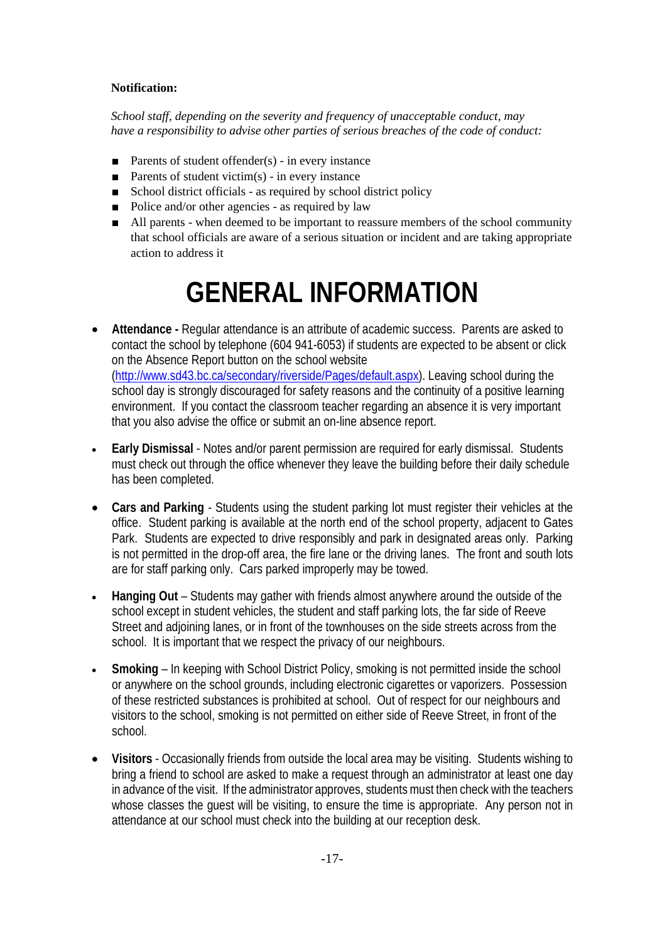#### **Notification:**

*School staff, depending on the severity and frequency of unacceptable conduct, may have a responsibility to advise other parties of serious breaches of the code of conduct:*

- Parents of student offender(s) in every instance
- **Parents of student victim(s)** in every instance
- School district officials as required by school district policy
- Police and/or other agencies as required by law
- All parents when deemed to be important to reassure members of the school community that school officials are aware of a serious situation or incident and are taking appropriate action to address it

# **GENERAL INFORMATION**

- **Attendance -** Regular attendance is an attribute of academic success. Parents are asked to contact the school by telephone (604 941-6053) if students are expected to be absent or click on the Absence Report button on the school website [\(http://www.sd43.bc.ca/secondary/riverside/Pages/default.aspx\)](http://www.sd43.bc.ca/secondary/riverside/Pages/default.aspx). Leaving school during the school day is strongly discouraged for safety reasons and the continuity of a positive learning environment. If you contact the classroom teacher regarding an absence it is very important that you also advise the office or submit an on-line absence report.
- **Early Dismissal** Notes and/or parent permission are required for early dismissal. Students must check out through the office whenever they leave the building before their daily schedule has been completed.
- **Cars and Parking** Students using the student parking lot must register their vehicles at the office. Student parking is available at the north end of the school property, adjacent to Gates Park. Students are expected to drive responsibly and park in designated areas only. Parking is not permitted in the drop-off area, the fire lane or the driving lanes. The front and south lots are for staff parking only. Cars parked improperly may be towed.
- **Hanging Out** Students may gather with friends almost anywhere around the outside of the school except in student vehicles, the student and staff parking lots, the far side of Reeve Street and adjoining lanes, or in front of the townhouses on the side streets across from the school. It is important that we respect the privacy of our neighbours.
- **Smoking** In keeping with School District Policy, smoking is not permitted inside the school or anywhere on the school grounds, including electronic cigarettes or vaporizers. Possession of these restricted substances is prohibited at school. Out of respect for our neighbours and visitors to the school, smoking is not permitted on either side of Reeve Street, in front of the school.
- **Visitors** Occasionally friends from outside the local area may be visiting. Students wishing to bring a friend to school are asked to make a request through an administrator at least one day in advance of the visit. If the administrator approves, students must then check with the teachers whose classes the guest will be visiting, to ensure the time is appropriate. Any person not in attendance at our school must check into the building at our reception desk.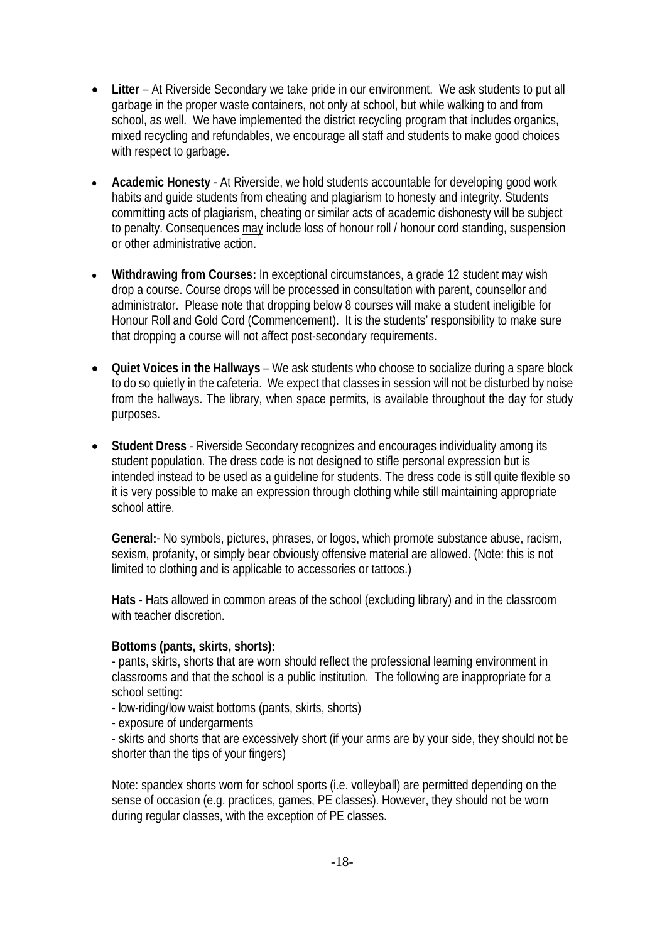- **Litter**  At Riverside Secondary we take pride in our environment. We ask students to put all garbage in the proper waste containers, not only at school, but while walking to and from school, as well. We have implemented the district recycling program that includes organics, mixed recycling and refundables, we encourage all staff and students to make good choices with respect to garbage.
- **Academic Honesty**  At Riverside, we hold students accountable for developing good work habits and guide students from cheating and plagiarism to honesty and integrity. Students committing acts of plagiarism, cheating or similar acts of academic dishonesty will be subject to penalty. Consequences may include loss of honour roll / honour cord standing, suspension or other administrative action.
- **Withdrawing from Courses:** In exceptional circumstances, a grade 12 student may wish drop a course. Course drops will be processed in consultation with parent, counsellor and administrator. Please note that dropping below 8 courses will make a student ineligible for Honour Roll and Gold Cord (Commencement). It is the students' responsibility to make sure that dropping a course will not affect post-secondary requirements.
- **Quiet Voices in the Hallways** We ask students who choose to socialize during a spare block to do so quietly in the cafeteria. We expect that classes in session will not be disturbed by noise from the hallways. The library, when space permits, is available throughout the day for study purposes.
- **Student Dress** Riverside Secondary recognizes and encourages individuality among its student population. The dress code is not designed to stifle personal expression but is intended instead to be used as a guideline for students. The dress code is still quite flexible so it is very possible to make an expression through clothing while still maintaining appropriate school attire.

**General:**- No symbols, pictures, phrases, or logos, which promote substance abuse, racism, sexism, profanity, or simply bear obviously offensive material are allowed. (Note: this is not limited to clothing and is applicable to accessories or tattoos.)

**Hats** - Hats allowed in common areas of the school (excluding library) and in the classroom with teacher discretion.

# **Bottoms (pants, skirts, shorts):**

- pants, skirts, shorts that are worn should reflect the professional learning environment in classrooms and that the school is a public institution. The following are inappropriate for a school setting:

- low-riding/low waist bottoms (pants, skirts, shorts)
- exposure of undergarments

- skirts and shorts that are excessively short (if your arms are by your side, they should not be shorter than the tips of your fingers)

Note: spandex shorts worn for school sports (i.e. volleyball) are permitted depending on the sense of occasion (e.g. practices, games, PE classes). However, they should not be worn during regular classes, with the exception of PE classes.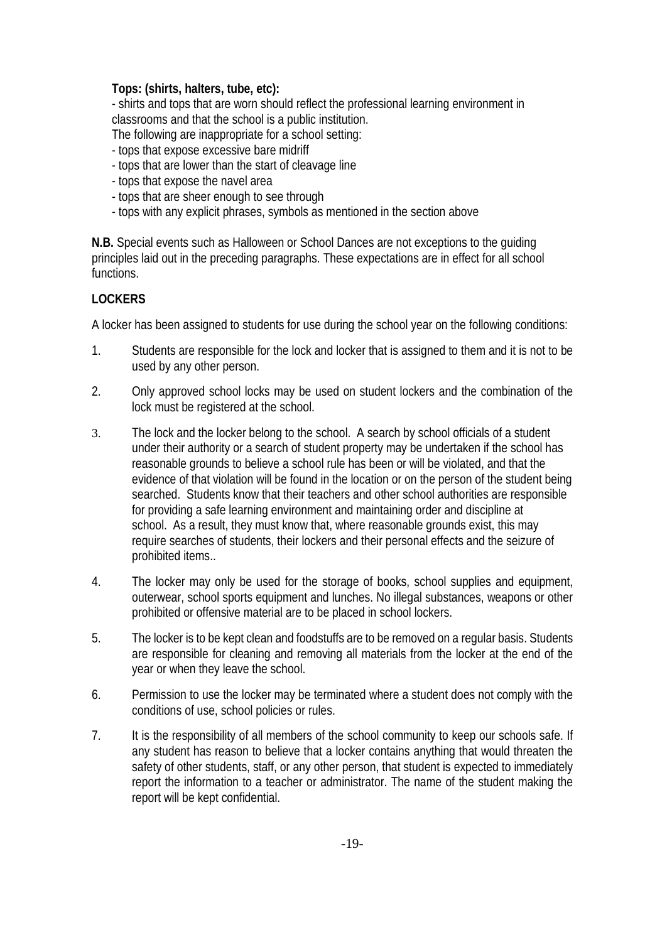# **Tops: (shirts, halters, tube, etc):**

- shirts and tops that are worn should reflect the professional learning environment in classrooms and that the school is a public institution.

The following are inappropriate for a school setting:

- tops that expose excessive bare midriff
- tops that are lower than the start of cleavage line
- tops that expose the navel area
- tops that are sheer enough to see through
- tops with any explicit phrases, symbols as mentioned in the section above

**N.B.** Special events such as Halloween or School Dances are not exceptions to the guiding principles laid out in the preceding paragraphs. These expectations are in effect for all school functions.

# **LOCKERS**

A locker has been assigned to students for use during the school year on the following conditions:

- 1. Students are responsible for the lock and locker that is assigned to them and it is not to be used by any other person.
- 2. Only approved school locks may be used on student lockers and the combination of the lock must be registered at the school.
- 3. The lock and the locker belong to the school. A search by school officials of a student under their authority or a search of student property may be undertaken if the school has reasonable grounds to believe a school rule has been or will be violated, and that the evidence of that violation will be found in the location or on the person of the student being searched. Students know that their teachers and other school authorities are responsible for providing a safe learning environment and maintaining order and discipline at school. As a result, they must know that, where reasonable grounds exist, this may require searches of students, their lockers and their personal effects and the seizure of prohibited items..
- 4. The locker may only be used for the storage of books, school supplies and equipment, outerwear, school sports equipment and lunches. No illegal substances, weapons or other prohibited or offensive material are to be placed in school lockers.
- 5. The locker is to be kept clean and foodstuffs are to be removed on a regular basis. Students are responsible for cleaning and removing all materials from the locker at the end of the year or when they leave the school.
- 6. Permission to use the locker may be terminated where a student does not comply with the conditions of use, school policies or rules.
- 7. It is the responsibility of all members of the school community to keep our schools safe. If any student has reason to believe that a locker contains anything that would threaten the safety of other students, staff, or any other person, that student is expected to immediately report the information to a teacher or administrator. The name of the student making the report will be kept confidential.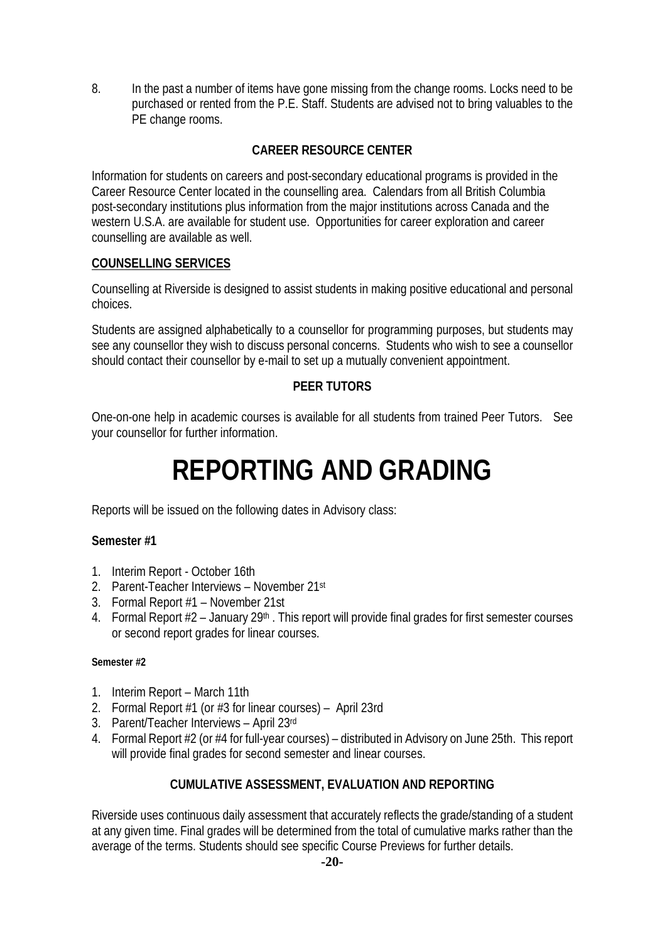8. In the past a number of items have gone missing from the change rooms. Locks need to be purchased or rented from the P.E. Staff. Students are advised not to bring valuables to the PE change rooms.

# **CAREER RESOURCE CENTER**

Information for students on careers and post-secondary educational programs is provided in the Career Resource Center located in the counselling area. Calendars from all British Columbia post-secondary institutions plus information from the major institutions across Canada and the western U.S.A. are available for student use. Opportunities for career exploration and career counselling are available as well.

# **COUNSELLING SERVICES**

Counselling at Riverside is designed to assist students in making positive educational and personal choices.

Students are assigned alphabetically to a counsellor for programming purposes, but students may see any counsellor they wish to discuss personal concerns. Students who wish to see a counsellor should contact their counsellor by e-mail to set up a mutually convenient appointment.

# **PEER TUTORS**

One-on-one help in academic courses is available for all students from trained Peer Tutors. See your counsellor for further information.

# **REPORTING AND GRADING**

Reports will be issued on the following dates in Advisory class:

# **Semester #1**

- 1. Interim Report October 16th
- 2. Parent-Teacher Interviews November 21st
- 3. Formal Report #1 November 21st
- 4. Formal Report #2 January 29<sup>th</sup>. This report will provide final grades for first semester courses or second report grades for linear courses.

#### **Semester #2**

- 1. Interim Report March 11th
- 2. Formal Report #1 (or #3 for linear courses) April 23rd
- 3. Parent/Teacher Interviews April 23rd
- 4. Formal Report #2 (or #4 for full-year courses) distributed in Advisory on June 25th. This report will provide final grades for second semester and linear courses.

# **CUMULATIVE ASSESSMENT, EVALUATION AND REPORTING**

Riverside uses continuous daily assessment that accurately reflects the grade/standing of a student at any given time. Final grades will be determined from the total of cumulative marks rather than the average of the terms. Students should see specific Course Previews for further details.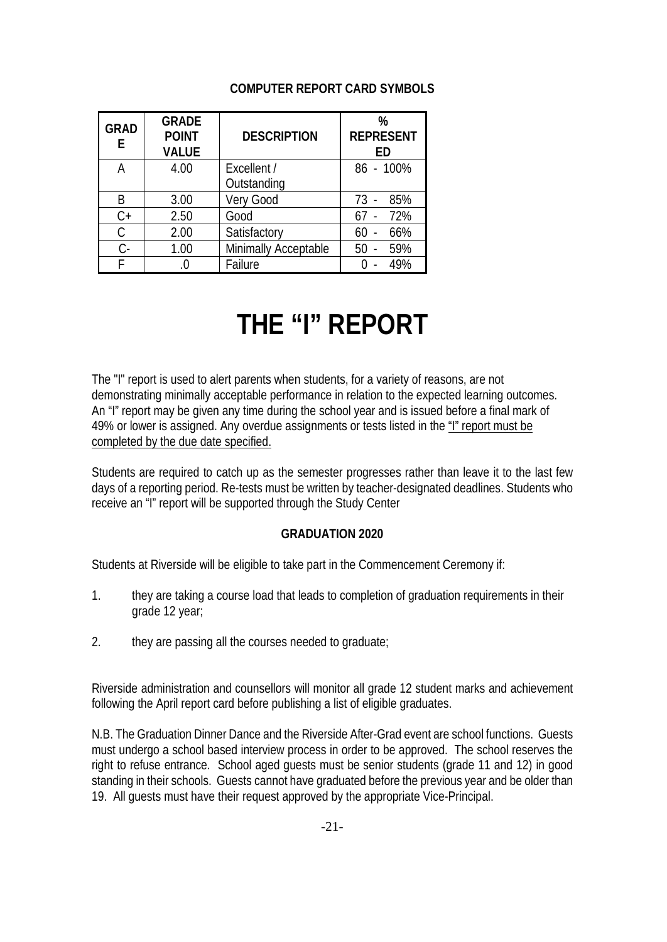# **COMPUTER REPORT CARD SYMBOLS**

| <b>GRAD</b><br>E | <b>GRADE</b><br><b>POINT</b><br><b>VALUE</b> | <b>DESCRIPTION</b>   | %<br><b>REPRESENT</b><br>ED |
|------------------|----------------------------------------------|----------------------|-----------------------------|
| А                | 4.00                                         | Excellent /          | 86 - 100%                   |
|                  |                                              | Outstanding          |                             |
| R                | 3.00                                         | Very Good            | 85%<br>$73 -$               |
| $C+$             | 2.50                                         | Good                 | 72%                         |
| C                | 2.00                                         | Satisfactory         | 66%                         |
| $C -$            | 1.00                                         | Minimally Acceptable | 59%<br>50                   |
|                  |                                              | Failure              | 49%                         |

# **THE "I" REPORT**

The "I" report is used to alert parents when students, for a variety of reasons, are not demonstrating minimally acceptable performance in relation to the expected learning outcomes. An "I" report may be given any time during the school year and is issued before a final mark of 49% or lower is assigned. Any overdue assignments or tests listed in the "I" report must be completed by the due date specified.

Students are required to catch up as the semester progresses rather than leave it to the last few days of a reporting period. Re-tests must be written by teacher-designated deadlines. Students who receive an "I" report will be supported through the Study Center

# **GRADUATION 2020**

Students at Riverside will be eligible to take part in the Commencement Ceremony if:

- 1. they are taking a course load that leads to completion of graduation requirements in their grade 12 year;
- 2. they are passing all the courses needed to graduate;

Riverside administration and counsellors will monitor all grade 12 student marks and achievement following the April report card before publishing a list of eligible graduates.

N.B. The Graduation Dinner Dance and the Riverside After-Grad event are school functions. Guests must undergo a school based interview process in order to be approved. The school reserves the right to refuse entrance. School aged guests must be senior students (grade 11 and 12) in good standing in their schools. Guests cannot have graduated before the previous year and be older than 19. All guests must have their request approved by the appropriate Vice-Principal.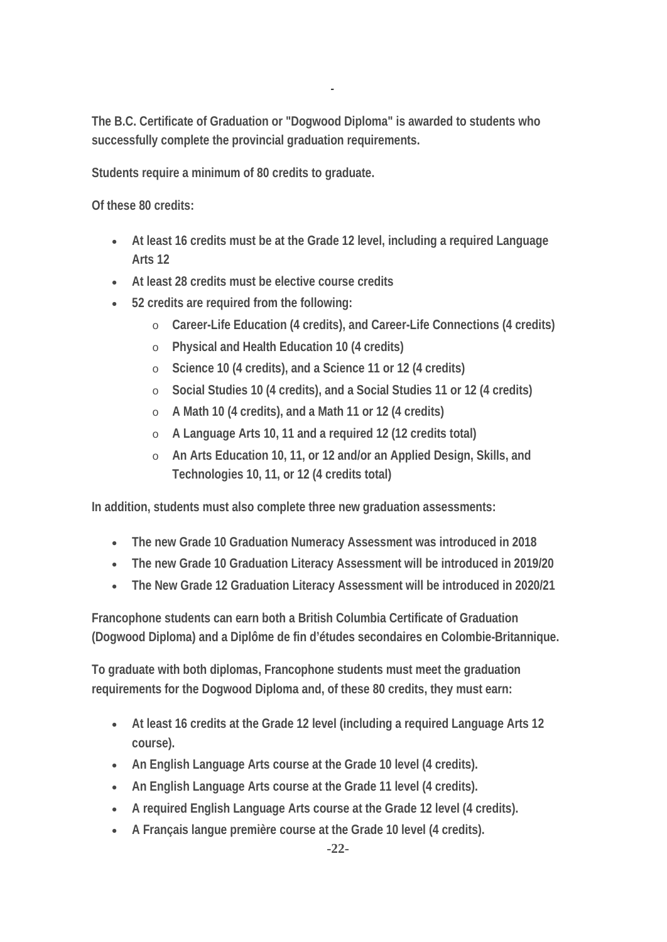**The B.C. Certificate of Graduation or "Dogwood Diploma" is awarded to students who successfully complete the provincial graduation requirements.**

*-*

**Students require a minimum of 80 credits to graduate.**

**Of these 80 credits:**

- **At least 16 credits must be at the Grade 12 level, including a required Language Arts 12**
- **At least 28 credits must be elective course credits**
- **52 credits are required from the following:**
	- o **Career-Life Education (4 credits), and Career-Life Connections (4 credits)**
	- o **Physical and Health Education 10 (4 credits)**
	- o **Science 10 (4 credits), and a Science 11 or 12 (4 credits)**
	- o **Social Studies 10 (4 credits), and a Social Studies 11 or 12 (4 credits)**
	- o **A Math 10 (4 credits), and a Math 11 or 12 (4 credits)**
	- o **A Language Arts 10, 11 and a required 12 (12 credits total)**
	- o **An Arts Education 10, 11, or 12 and/or an Applied Design, Skills, and Technologies 10, 11, or 12 (4 credits total)**

**In addition, students must also complete three new graduation assessments:**

- **The new Grade 10 Graduation Numeracy Assessment was introduced in 2018**
- **The new Grade 10 Graduation Literacy Assessment will be introduced in 2019/20**
- **The New Grade 12 Graduation Literacy Assessment will be introduced in 2020/21**

**Francophone students can earn both a British Columbia Certificate of Graduation (Dogwood Diploma) and a Diplôme de fin d'études secondaires en Colombie-Britannique.**

**To graduate with both diplomas, Francophone students must meet the graduation requirements for the Dogwood Diploma and, of these 80 credits, they must earn:**

- **At least 16 credits at the Grade 12 level (including a required Language Arts 12 course).**
- **An English Language Arts course at the Grade 10 level (4 credits).**
- **An English Language Arts course at the Grade 11 level (4 credits).**
- **A required English Language Arts course at the Grade 12 level (4 credits).**
- **A Français langue première course at the Grade 10 level (4 credits).**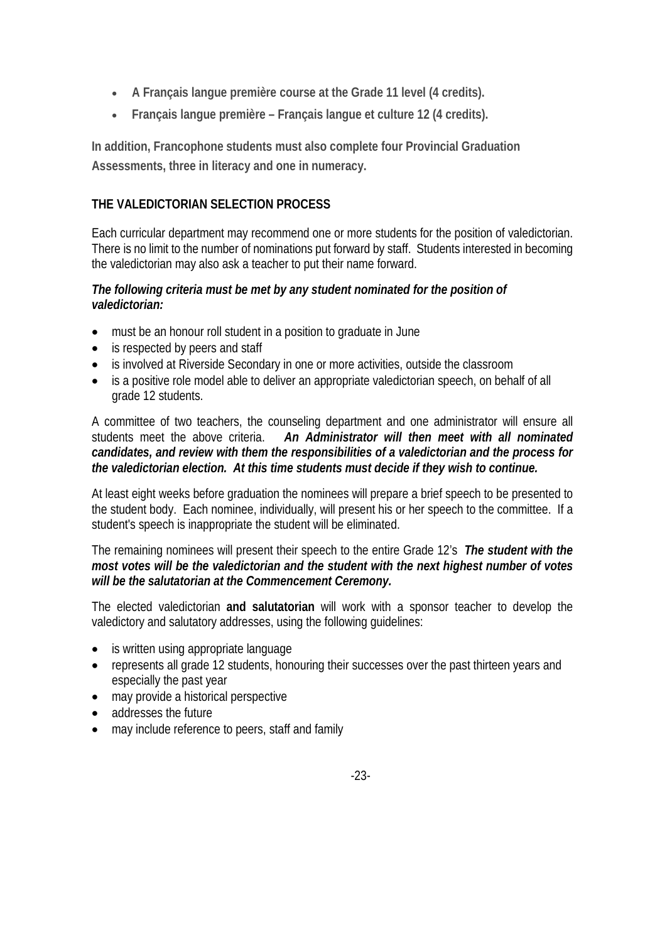- **A Français langue première course at the Grade 11 level (4 credits).**
- **Français langue première – Français langue et culture 12 (4 credits).**

**In addition, Francophone students must also complete four Provincial Graduation Assessments, three in literacy and one in numeracy.**

# **THE VALEDICTORIAN SELECTION PROCESS**

Each curricular department may recommend one or more students for the position of valedictorian. There is no limit to the number of nominations put forward by staff. Students interested in becoming the valedictorian may also ask a teacher to put their name forward.

# *The following criteria must be met by any student nominated for the position of valedictorian:*

- must be an honour roll student in a position to graduate in June
- is respected by peers and staff
- is involved at Riverside Secondary in one or more activities, outside the classroom
- is a positive role model able to deliver an appropriate valedictorian speech, on behalf of all grade 12 students.

A committee of two teachers, the counseling department and one administrator will ensure all students meet the above criteria. *An Administrator will then meet with all nominated candidates, and review with them the responsibilities of a valedictorian and the process for the valedictorian election. At this time students must decide if they wish to continue.*

At least eight weeks before graduation the nominees will prepare a brief speech to be presented to the student body. Each nominee, individually, will present his or her speech to the committee. If a student's speech is inappropriate the student will be eliminated.

The remaining nominees will present their speech to the entire Grade 12's *The student with the most votes will be the valedictorian and the student with the next highest number of votes will be the salutatorian at the Commencement Ceremony.*

The elected valedictorian **and salutatorian** will work with a sponsor teacher to develop the valedictory and salutatory addresses, using the following guidelines:

- is written using appropriate language
- represents all grade 12 students, honouring their successes over the past thirteen years and especially the past year
- may provide a historical perspective
- addresses the future
- may include reference to peers, staff and family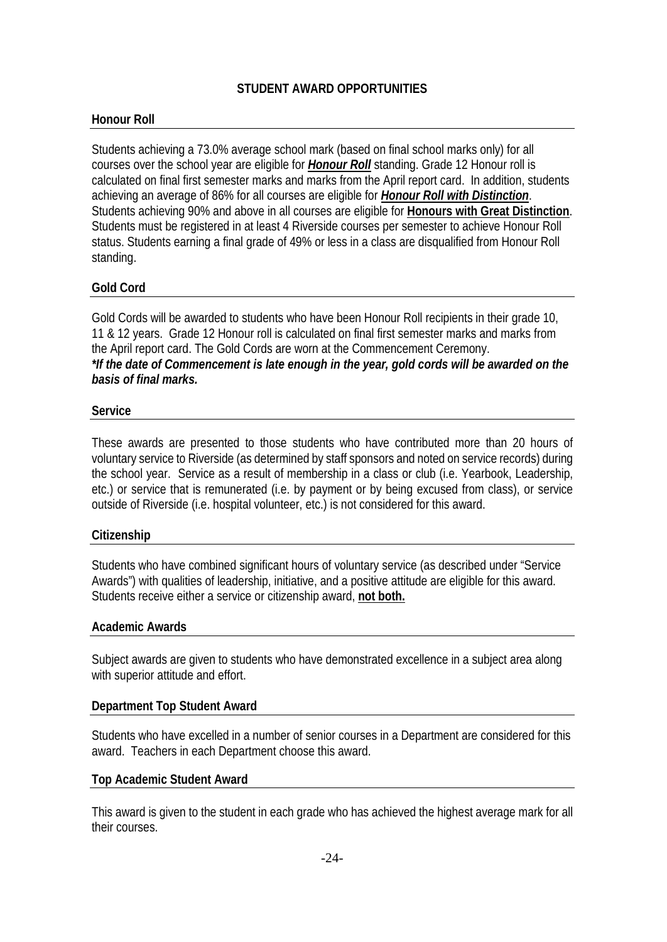# **STUDENT AWARD OPPORTUNITIES**

# **Honour Roll**

Students achieving a 73.0% average school mark (based on final school marks only) for all courses over the school year are eligible for *Honour Roll* standing. Grade 12 Honour roll is calculated on final first semester marks and marks from the April report card. In addition, students achieving an average of 86% for all courses are eligible for *Honour Roll with Distinction*. Students achieving 90% and above in all courses are eligible for **Honours with Great Distinction**. Students must be registered in at least 4 Riverside courses per semester to achieve Honour Roll status. Students earning a final grade of 49% or less in a class are disqualified from Honour Roll standing.

# **Gold Cord**

Gold Cords will be awarded to students who have been Honour Roll recipients in their grade 10, 11 & 12 years. Grade 12 Honour roll is calculated on final first semester marks and marks from the April report card. The Gold Cords are worn at the Commencement Ceremony. *\*If the date of Commencement is late enough in the year, gold cords will be awarded on the basis of final marks.*

#### **Service**

These awards are presented to those students who have contributed more than 20 hours of voluntary service to Riverside (as determined by staff sponsors and noted on service records) during the school year. Service as a result of membership in a class or club (i.e. Yearbook, Leadership, etc.) or service that is remunerated (i.e. by payment or by being excused from class), or service outside of Riverside (i.e. hospital volunteer, etc.) is not considered for this award.

#### **Citizenship**

Students who have combined significant hours of voluntary service (as described under "Service Awards") with qualities of leadership, initiative, and a positive attitude are eligible for this award. Students receive either a service or citizenship award, **not both.**

#### **Academic Awards**

Subject awards are given to students who have demonstrated excellence in a subject area along with superior attitude and effort.

#### **Department Top Student Award**

Students who have excelled in a number of senior courses in a Department are considered for this award. Teachers in each Department choose this award.

#### **Top Academic Student Award**

This award is given to the student in each grade who has achieved the highest average mark for all their courses.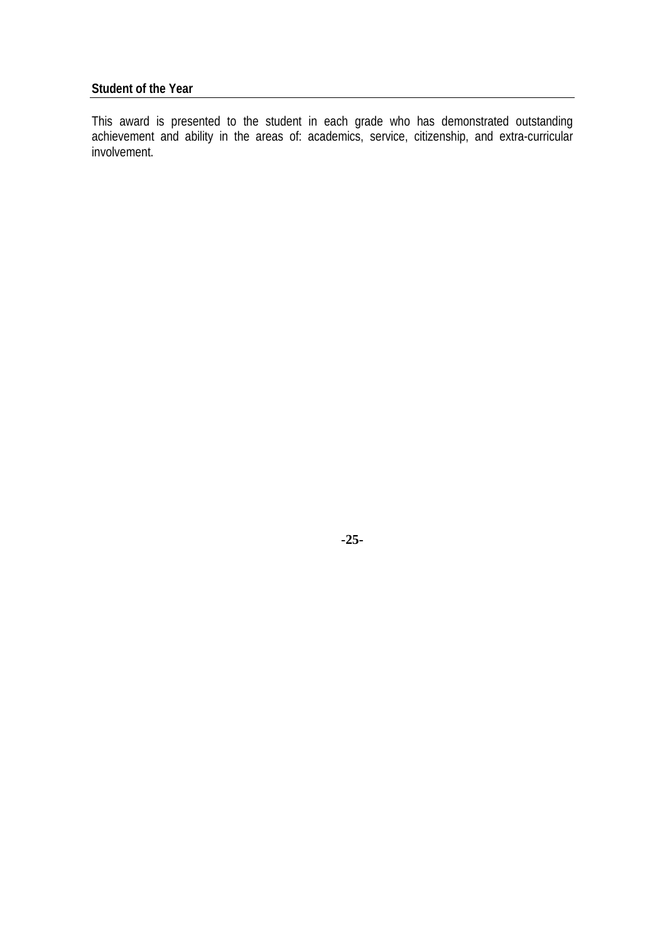# **Student of the Year**

This award is presented to the student in each grade who has demonstrated outstanding achievement and ability in the areas of: academics, service, citizenship, and extra-curricular involvement.

**-25-**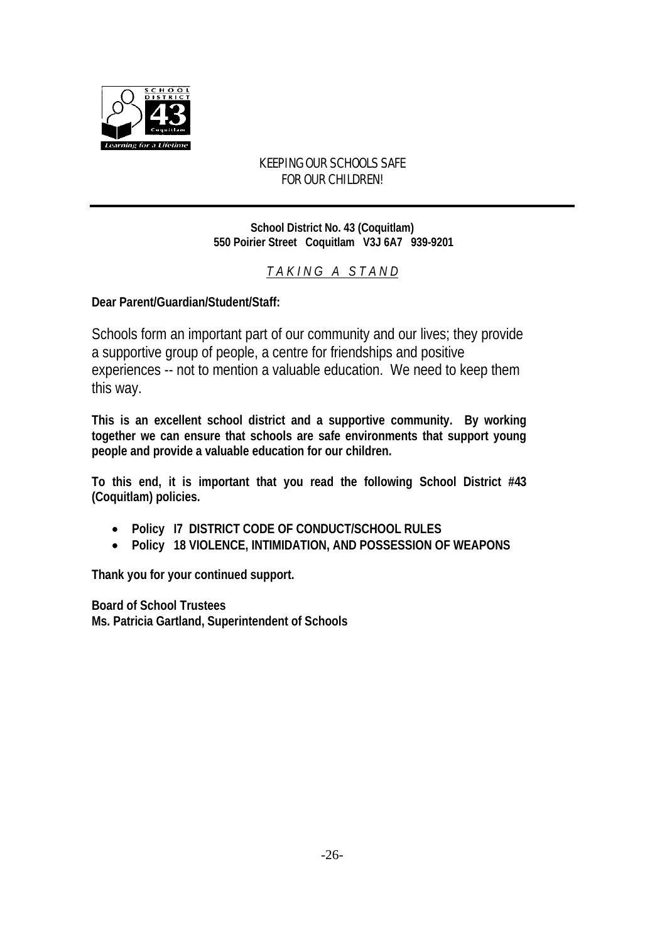

# KEEPING OUR SCHOOLS SAFE FOR OUR CHILDREN!

**School District No. 43 (Coquitlam) 550 Poirier Street Coquitlam V3J 6A7 939-9201**

*T A K I N G A S T A N D*

**Dear Parent/Guardian/Student/Staff:**

Schools form an important part of our community and our lives; they provide a supportive group of people, a centre for friendships and positive experiences -- not to mention a valuable education. We need to keep them this way.

**This is an excellent school district and a supportive community. By working together we can ensure that schools are safe environments that support young people and provide a valuable education for our children.**

**To this end, it is important that you read the following School District #43 (Coquitlam) policies.** 

- **Policy I7 DISTRICT CODE OF CONDUCT/SCHOOL RULES**
- **Policy 18 VIOLENCE, INTIMIDATION, AND POSSESSION OF WEAPONS**

**Thank you for your continued support.**

**Board of School Trustees Ms. Patricia Gartland, Superintendent of Schools**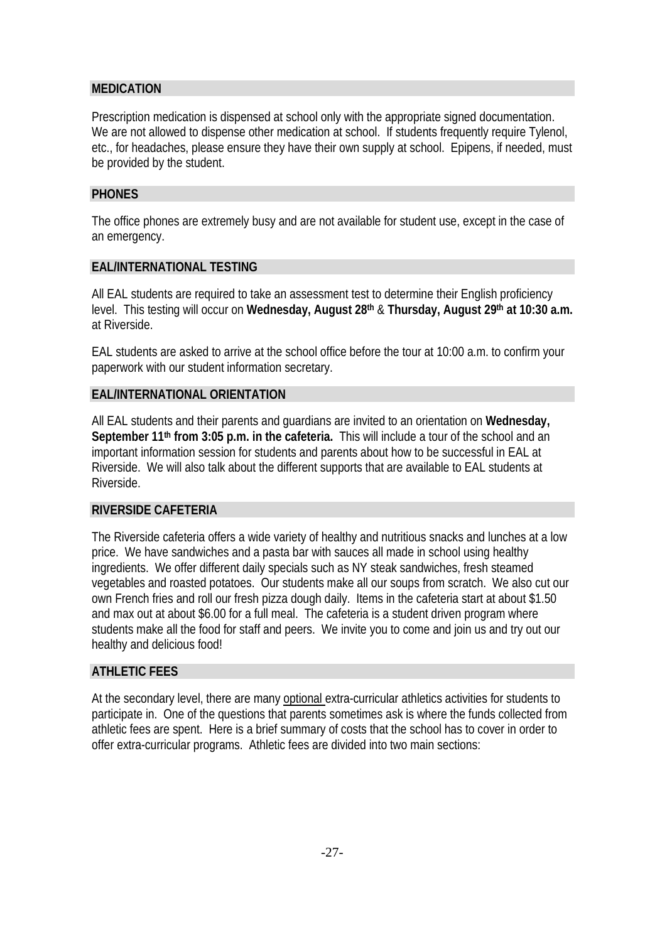# **MEDICATION**

Prescription medication is dispensed at school only with the appropriate signed documentation. We are not allowed to dispense other medication at school. If students frequently require Tylenol, etc., for headaches, please ensure they have their own supply at school. Epipens, if needed, must be provided by the student.

### **PHONES**

The office phones are extremely busy and are not available for student use, except in the case of an emergency.

# **EAL/INTERNATIONAL TESTING**

All EAL students are required to take an assessment test to determine their English proficiency level. This testing will occur on **Wednesday, August 28th** & **Thursday, August 29th at 10:30 a.m.**  at Riverside.

EAL students are asked to arrive at the school office before the tour at 10:00 a.m. to confirm your paperwork with our student information secretary.

# **EAL/INTERNATIONAL ORIENTATION**

All EAL students and their parents and guardians are invited to an orientation on **Wednesday, September 11th from 3:05 p.m. in the cafeteria.** This will include a tour of the school and an important information session for students and parents about how to be successful in EAL at Riverside. We will also talk about the different supports that are available to EAL students at Riverside.

#### **RIVERSIDE CAFETERIA**

The Riverside cafeteria offers a wide variety of healthy and nutritious snacks and lunches at a low price. We have sandwiches and a pasta bar with sauces all made in school using healthy ingredients. We offer different daily specials such as NY steak sandwiches, fresh steamed vegetables and roasted potatoes. Our students make all our soups from scratch. We also cut our own French fries and roll our fresh pizza dough daily. Items in the cafeteria start at about \$1.50 and max out at about \$6.00 for a full meal. The cafeteria is a student driven program where students make all the food for staff and peers. We invite you to come and join us and try out our healthy and delicious food!

### **ATHLETIC FEES**

At the secondary level, there are many optional extra-curricular athletics activities for students to participate in. One of the questions that parents sometimes ask is where the funds collected from athletic fees are spent. Here is a brief summary of costs that the school has to cover in order to offer extra-curricular programs. Athletic fees are divided into two main sections: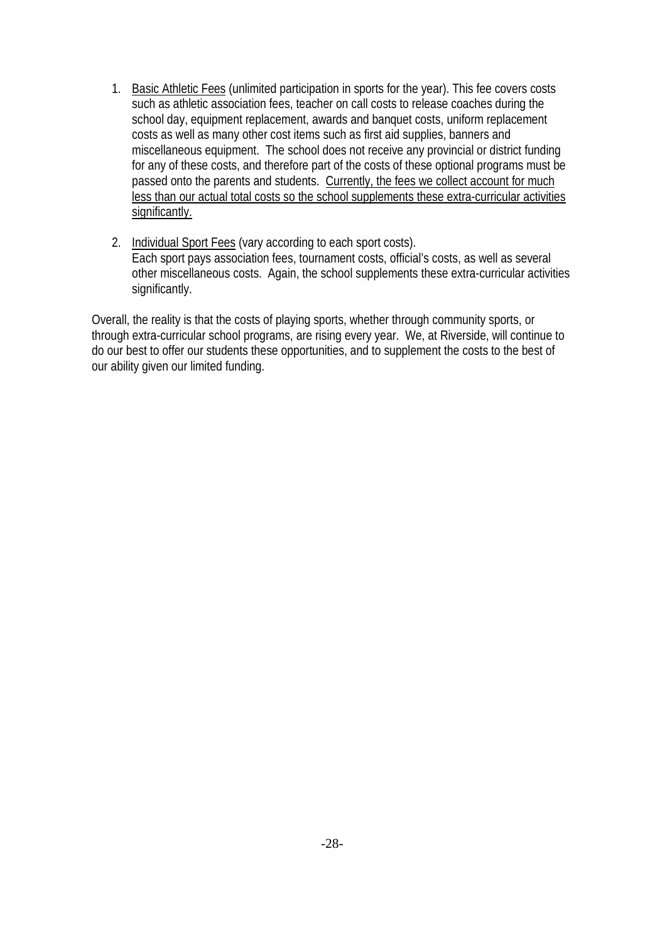- 1. Basic Athletic Fees (unlimited participation in sports for the year). This fee covers costs such as athletic association fees, teacher on call costs to release coaches during the school day, equipment replacement, awards and banquet costs, uniform replacement costs as well as many other cost items such as first aid supplies, banners and miscellaneous equipment. The school does not receive any provincial or district funding for any of these costs, and therefore part of the costs of these optional programs must be passed onto the parents and students. Currently, the fees we collect account for much less than our actual total costs so the school supplements these extra-curricular activities significantly.
- 2. Individual Sport Fees (vary according to each sport costs). Each sport pays association fees, tournament costs, official's costs, as well as several other miscellaneous costs. Again, the school supplements these extra-curricular activities significantly.

Overall, the reality is that the costs of playing sports, whether through community sports, or through extra-curricular school programs, are rising every year. We, at Riverside, will continue to do our best to offer our students these opportunities, and to supplement the costs to the best of our ability given our limited funding.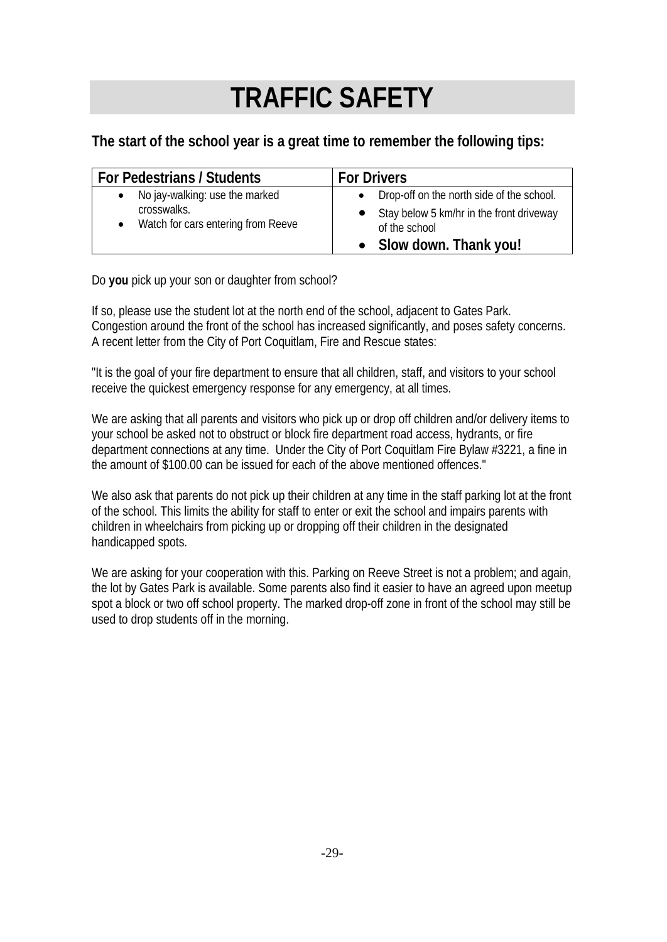# **TRAFFIC SAFETY**

**The start of the school year is a great time to remember the following tips:**

| For Pedestrians / Students         | <b>For Drivers</b>                        |
|------------------------------------|-------------------------------------------|
| No jay-walking: use the marked     | Drop-off on the north side of the school. |
| crosswalks.                        | Stay below 5 km/hr in the front driveway  |
| Watch for cars entering from Reeve | of the school                             |
| $\bullet$                          | Slow down. Thank you!                     |

Do **you** pick up your son or daughter from school?

If so, please use the student lot at the north end of the school, adjacent to Gates Park. Congestion around the front of the school has increased significantly, and poses safety concerns. A recent letter from the City of Port Coquitlam, Fire and Rescue states:

"It is the goal of your fire department to ensure that all children, staff, and visitors to your school receive the quickest emergency response for any emergency, at all times.

We are asking that all parents and visitors who pick up or drop off children and/or delivery items to your school be asked not to obstruct or block fire department road access, hydrants, or fire department connections at any time. Under the City of Port Coquitlam Fire Bylaw #3221, a fine in the amount of \$100.00 can be issued for each of the above mentioned offences."

We also ask that parents do not pick up their children at any time in the staff parking lot at the front of the school. This limits the ability for staff to enter or exit the school and impairs parents with children in wheelchairs from picking up or dropping off their children in the designated handicapped spots.

We are asking for your cooperation with this. Parking on Reeve Street is not a problem; and again, the lot by Gates Park is available. Some parents also find it easier to have an agreed upon meetup spot a block or two off school property. The marked drop-off zone in front of the school may still be used to drop students off in the morning.